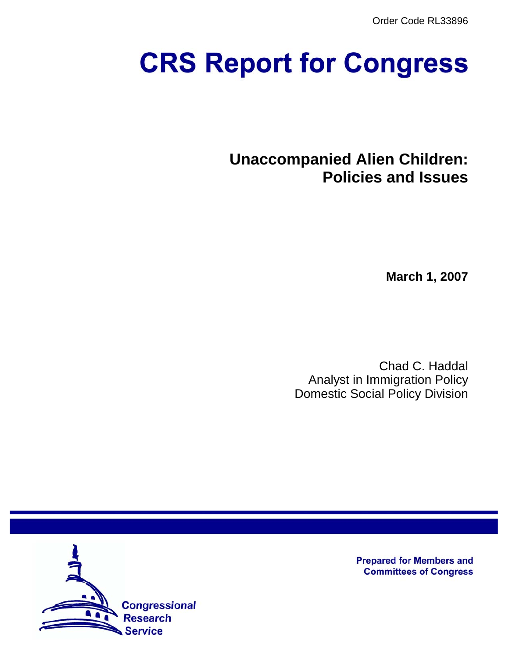Order Code RL33896

# **CRS Report for Congress**

**Unaccompanied Alien Children: Policies and Issues**

**March 1, 2007**

Chad C. Haddal Analyst in Immigration Policy Domestic Social Policy Division



**Prepared for Members and Committees of Congress**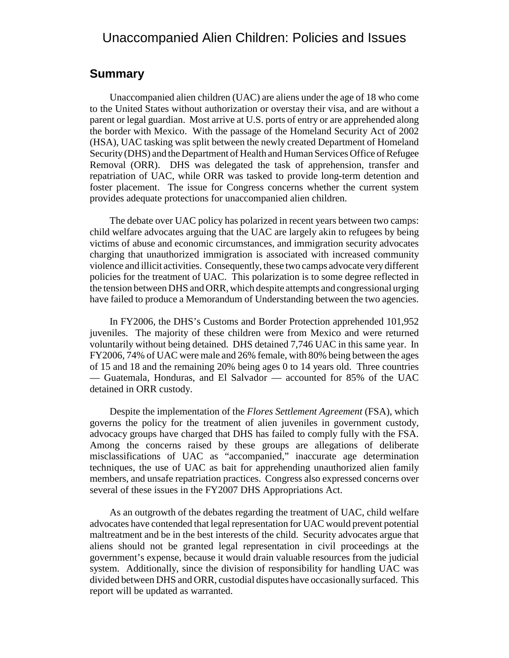## Unaccompanied Alien Children: Policies and Issues

## **Summary**

Unaccompanied alien children (UAC) are aliens under the age of 18 who come to the United States without authorization or overstay their visa, and are without a parent or legal guardian. Most arrive at U.S. ports of entry or are apprehended along the border with Mexico. With the passage of the Homeland Security Act of 2002 (HSA), UAC tasking was split between the newly created Department of Homeland Security (DHS) and the Department of Health and Human Services Office of Refugee Removal (ORR). DHS was delegated the task of apprehension, transfer and repatriation of UAC, while ORR was tasked to provide long-term detention and foster placement. The issue for Congress concerns whether the current system provides adequate protections for unaccompanied alien children.

The debate over UAC policy has polarized in recent years between two camps: child welfare advocates arguing that the UAC are largely akin to refugees by being victims of abuse and economic circumstances, and immigration security advocates charging that unauthorized immigration is associated with increased community violence and illicit activities. Consequently, these two camps advocate very different policies for the treatment of UAC. This polarization is to some degree reflected in the tension between DHS and ORR, which despite attempts and congressional urging have failed to produce a Memorandum of Understanding between the two agencies.

In FY2006, the DHS's Customs and Border Protection apprehended 101,952 juveniles. The majority of these children were from Mexico and were returned voluntarily without being detained. DHS detained 7,746 UAC in this same year. In FY2006, 74% of UAC were male and 26% female, with 80% being between the ages of 15 and 18 and the remaining 20% being ages 0 to 14 years old. Three countries — Guatemala, Honduras, and El Salvador — accounted for 85% of the UAC detained in ORR custody.

Despite the implementation of the *Flores Settlement Agreement* (FSA), which governs the policy for the treatment of alien juveniles in government custody, advocacy groups have charged that DHS has failed to comply fully with the FSA. Among the concerns raised by these groups are allegations of deliberate misclassifications of UAC as "accompanied," inaccurate age determination techniques, the use of UAC as bait for apprehending unauthorized alien family members, and unsafe repatriation practices. Congress also expressed concerns over several of these issues in the FY2007 DHS Appropriations Act.

As an outgrowth of the debates regarding the treatment of UAC, child welfare advocates have contended that legal representation for UAC would prevent potential maltreatment and be in the best interests of the child. Security advocates argue that aliens should not be granted legal representation in civil proceedings at the government's expense, because it would drain valuable resources from the judicial system. Additionally, since the division of responsibility for handling UAC was divided between DHS and ORR, custodial disputes have occasionally surfaced. This report will be updated as warranted.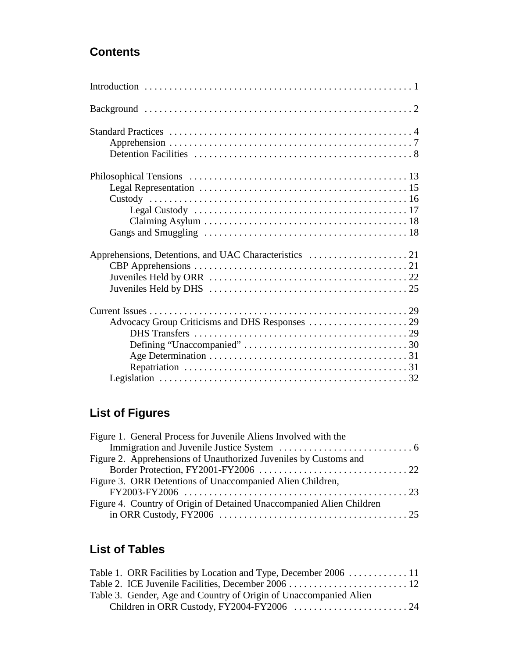## **Contents**

# **List of Figures**

| Figure 1. General Process for Juvenile Aliens Involved with the      |  |
|----------------------------------------------------------------------|--|
|                                                                      |  |
| Figure 2. Apprehensions of Unauthorized Juveniles by Customs and     |  |
|                                                                      |  |
| Figure 3. ORR Detentions of Unaccompanied Alien Children,            |  |
|                                                                      |  |
| Figure 4. Country of Origin of Detained Unaccompanied Alien Children |  |
|                                                                      |  |

# **List of Tables**

| Table 3. Gender, Age and Country of Origin of Unaccompanied Alien |  |
|-------------------------------------------------------------------|--|
|                                                                   |  |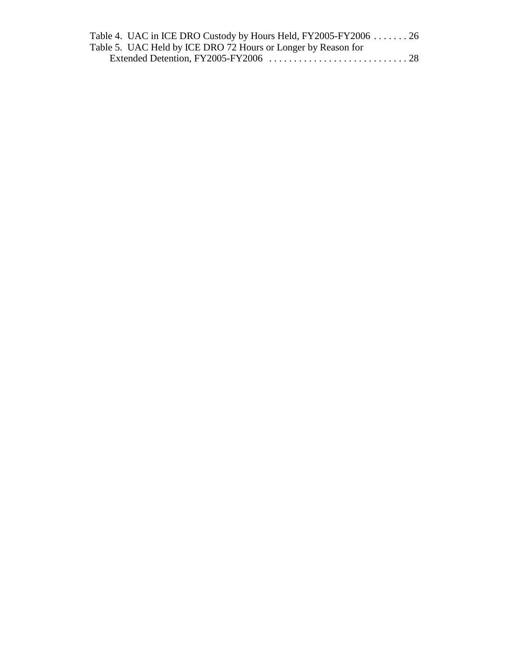| Table 4. UAC in ICE DRO Custody by Hours Held, FY2005-FY2006 26 |  |
|-----------------------------------------------------------------|--|
| Table 5. UAC Held by ICE DRO 72 Hours or Longer by Reason for   |  |
|                                                                 |  |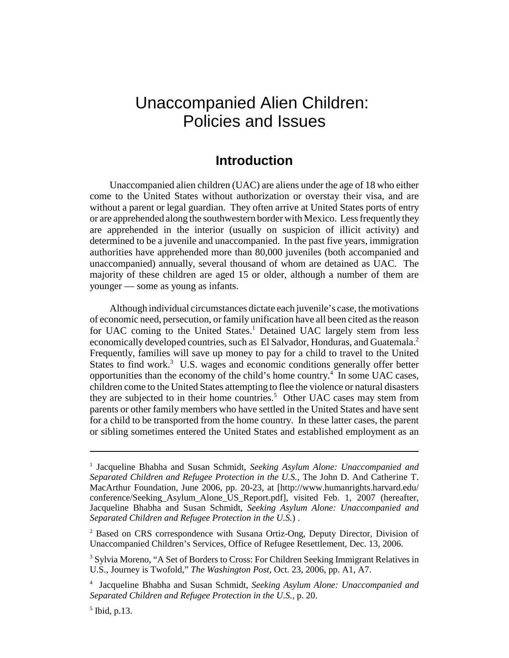# Unaccompanied Alien Children: Policies and Issues

## **Introduction**

Unaccompanied alien children (UAC) are aliens under the age of 18 who either come to the United States without authorization or overstay their visa, and are without a parent or legal guardian. They often arrive at United States ports of entry or are apprehended along the southwestern border with Mexico. Less frequently they are apprehended in the interior (usually on suspicion of illicit activity) and determined to be a juvenile and unaccompanied. In the past five years, immigration authorities have apprehended more than 80,000 juveniles (both accompanied and unaccompanied) annually, several thousand of whom are detained as UAC. The majority of these children are aged 15 or older, although a number of them are younger — some as young as infants.

Although individual circumstances dictate each juvenile's case, the motivations of economic need, persecution, or family unification have all been cited as the reason for UAC coming to the United States.<sup>1</sup> Detained UAC largely stem from less economically developed countries, such as El Salvador, Honduras, and Guatemala.<sup>2</sup> Frequently, families will save up money to pay for a child to travel to the United States to find work.<sup>3</sup> U.S. wages and economic conditions generally offer better opportunities than the economy of the child's home country.<sup>4</sup> In some UAC cases, children come to the United States attempting to flee the violence or natural disasters they are subjected to in their home countries.<sup>5</sup> Other UAC cases may stem from parents or other family members who have settled in the United States and have sent for a child to be transported from the home country. In these latter cases, the parent or sibling sometimes entered the United States and established employment as an

<sup>&</sup>lt;sup>1</sup> Jacqueline Bhabha and Susan Schmidt, Seeking Asylum Alone: Unaccompanied and *Separated Children and Refugee Protection in the U.S.*, The John D. And Catherine T. MacArthur Foundation, June 2006, pp. 20-23, at [http://www.humanrights.harvard.edu/ conference/Seeking\_Asylum\_Alone\_US\_Report.pdf], visited Feb. 1, 2007 (hereafter, Jacqueline Bhabha and Susan Schmidt, *Seeking Asylum Alone: Unaccompanied and Separated Children and Refugee Protection in the U.S.*) .

<sup>&</sup>lt;sup>2</sup> Based on CRS correspondence with Susana Ortiz-Ong, Deputy Director, Division of Unaccompanied Children's Services, Office of Refugee Resettlement, Dec. 13, 2006.

<sup>&</sup>lt;sup>3</sup> Sylvia Moreno, "A Set of Borders to Cross: For Children Seeking Immigrant Relatives in U.S., Journey is Twofold," *The Washington Post*, Oct. 23, 2006, pp. A1, A7.

<sup>4</sup> Jacqueline Bhabha and Susan Schmidt, *Seeking Asylum Alone: Unaccompanied and Separated Children and Refugee Protection in the U.S.*, p. 20.

<sup>5</sup> Ibid, p.13.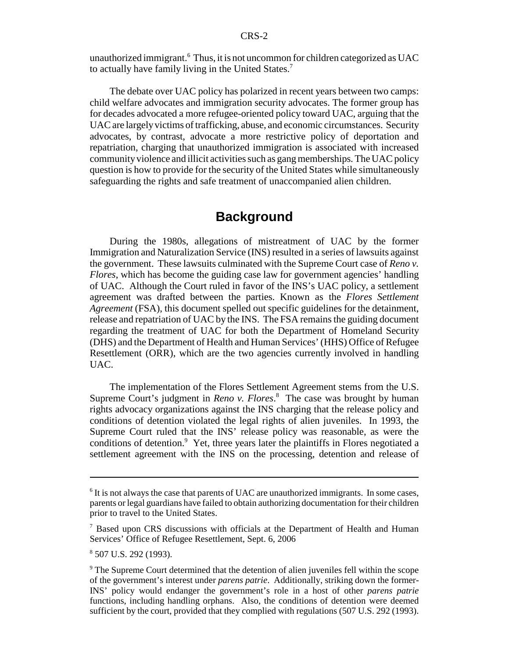unauthorized immigrant.<sup>6</sup> Thus, it is not uncommon for children categorized as UAC to actually have family living in the United States.<sup>7</sup>

The debate over UAC policy has polarized in recent years between two camps: child welfare advocates and immigration security advocates. The former group has for decades advocated a more refugee-oriented policy toward UAC, arguing that the UAC are largely victims of trafficking, abuse, and economic circumstances. Security advocates, by contrast, advocate a more restrictive policy of deportation and repatriation, charging that unauthorized immigration is associated with increased community violence and illicit activities such as gang memberships. The UAC policy question is how to provide for the security of the United States while simultaneously safeguarding the rights and safe treatment of unaccompanied alien children.

## **Background**

During the 1980s, allegations of mistreatment of UAC by the former Immigration and Naturalization Service (INS) resulted in a series of lawsuits against the government. These lawsuits culminated with the Supreme Court case of *Reno v. Flores*, which has become the guiding case law for government agencies' handling of UAC. Although the Court ruled in favor of the INS's UAC policy, a settlement agreement was drafted between the parties. Known as the *Flores Settlement Agreement* (FSA), this document spelled out specific guidelines for the detainment, release and repatriation of UAC by the INS. The FSA remains the guiding document regarding the treatment of UAC for both the Department of Homeland Security (DHS) and the Department of Health and Human Services' (HHS) Office of Refugee Resettlement (ORR), which are the two agencies currently involved in handling UAC.

The implementation of the Flores Settlement Agreement stems from the U.S. Supreme Court's judgment in *Reno v. Flores*. 8 The case was brought by human rights advocacy organizations against the INS charging that the release policy and conditions of detention violated the legal rights of alien juveniles. In 1993, the Supreme Court ruled that the INS' release policy was reasonable, as were the conditions of detention.<sup>9</sup> Yet, three years later the plaintiffs in Flores negotiated a settlement agreement with the INS on the processing, detention and release of

<sup>&</sup>lt;sup>6</sup> It is not always the case that parents of UAC are unauthorized immigrants. In some cases, parents or legal guardians have failed to obtain authorizing documentation for their children prior to travel to the United States.

<sup>&</sup>lt;sup>7</sup> Based upon CRS discussions with officials at the Department of Health and Human Services' Office of Refugee Resettlement, Sept. 6, 2006

<sup>8</sup> 507 U.S. 292 (1993).

<sup>&</sup>lt;sup>9</sup> The Supreme Court determined that the detention of alien juveniles fell within the scope of the government's interest under *parens patrie*. Additionally, striking down the former-INS' policy would endanger the government's role in a host of other *parens patrie* functions, including handling orphans. Also, the conditions of detention were deemed sufficient by the court, provided that they complied with regulations (507 U.S. 292 (1993).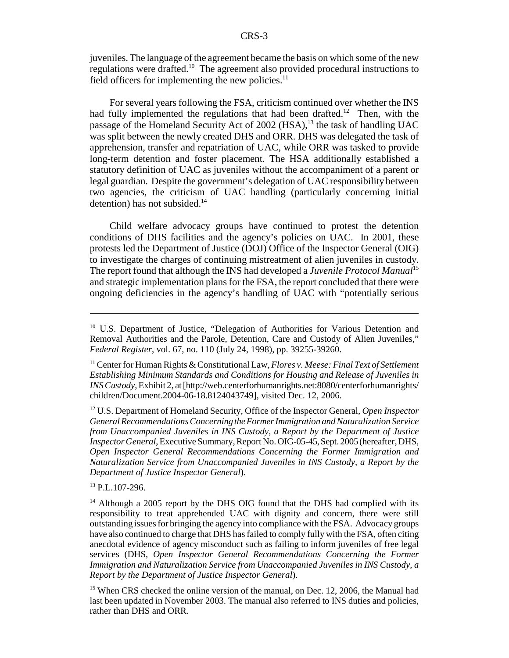juveniles. The language of the agreement became the basis on which some of the new regulations were drafted.<sup>10</sup> The agreement also provided procedural instructions to field officers for implementing the new policies. $<sup>11</sup>$ </sup>

For several years following the FSA, criticism continued over whether the INS had fully implemented the regulations that had been drafted.<sup>12</sup> Then, with the passage of the Homeland Security Act of 2002 (HSA),<sup>13</sup> the task of handling UAC was split between the newly created DHS and ORR. DHS was delegated the task of apprehension, transfer and repatriation of UAC, while ORR was tasked to provide long-term detention and foster placement. The HSA additionally established a statutory definition of UAC as juveniles without the accompaniment of a parent or legal guardian. Despite the government's delegation of UAC responsibility between two agencies, the criticism of UAC handling (particularly concerning initial detention) has not subsided. $14$ 

Child welfare advocacy groups have continued to protest the detention conditions of DHS facilities and the agency's policies on UAC. In 2001, these protests led the Department of Justice (DOJ) Office of the Inspector General (OIG) to investigate the charges of continuing mistreatment of alien juveniles in custody. The report found that although the INS had developed a *Juvenile Protocol Manual*<sup>15</sup> and strategic implementation plans for the FSA, the report concluded that there were ongoing deficiencies in the agency's handling of UAC with "potentially serious

13 P.L.107-296.

<sup>&</sup>lt;sup>10</sup> U.S. Department of Justice, "Delegation of Authorities for Various Detention and Removal Authorities and the Parole, Detention, Care and Custody of Alien Juveniles," *Federal Register*, vol. 67, no. 110 (July 24, 1998), pp. 39255-39260.

<sup>11</sup> Center for Human Rights & Constitutional Law, *Flores v. Meese: Final Text of Settlement Establishing Minimum Standards and Conditions for Housing and Release of Juveniles in INS Custody*, Exhibit 2, at [http://web.centerforhumanrights.net:8080/centerforhumanrights/ children/Document.2004-06-18.8124043749], visited Dec. 12, 2006.

<sup>12</sup> U.S. Department of Homeland Security, Office of the Inspector General, *Open Inspector General Recommendations Concerning the Former Immigration and Naturalization Service from Unaccompanied Juveniles in INS Custody, a Report by the Department of Justice Inspector General*, Executive Summary, Report No. OIG-05-45, Sept. 2005 (hereafter, DHS, *Open Inspector General Recommendations Concerning the Former Immigration and Naturalization Service from Unaccompanied Juveniles in INS Custody, a Report by the Department of Justice Inspector General*).

<sup>&</sup>lt;sup>14</sup> Although a 2005 report by the DHS OIG found that the DHS had complied with its responsibility to treat apprehended UAC with dignity and concern, there were still outstanding issues for bringing the agency into compliance with the FSA. Advocacy groups have also continued to charge that DHS has failed to comply fully with the FSA, often citing anecdotal evidence of agency misconduct such as failing to inform juveniles of free legal services (DHS, *Open Inspector General Recommendations Concerning the Former Immigration and Naturalization Service from Unaccompanied Juveniles in INS Custody, a Report by the Department of Justice Inspector General*).

<sup>&</sup>lt;sup>15</sup> When CRS checked the online version of the manual, on Dec. 12, 2006, the Manual had last been updated in November 2003. The manual also referred to INS duties and policies, rather than DHS and ORR.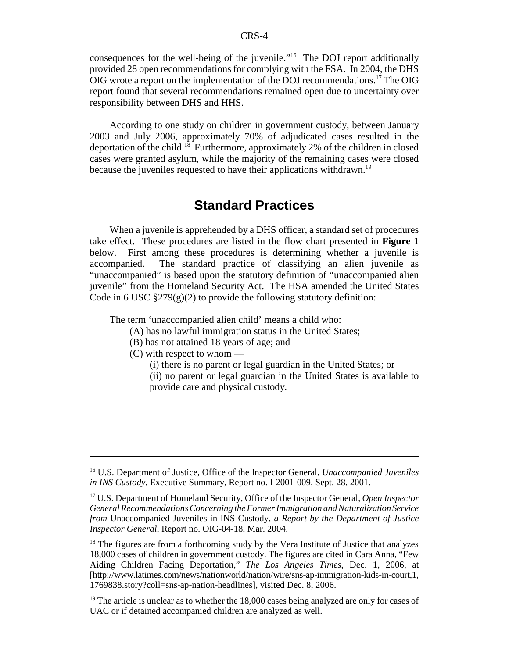consequences for the well-being of the juvenile."16 The DOJ report additionally provided 28 open recommendations for complying with the FSA. In 2004, the DHS OIG wrote a report on the implementation of the DOJ recommendations.17 The OIG report found that several recommendations remained open due to uncertainty over responsibility between DHS and HHS.

According to one study on children in government custody, between January 2003 and July 2006, approximately 70% of adjudicated cases resulted in the deportation of the child.18 Furthermore, approximately 2% of the children in closed cases were granted asylum, while the majority of the remaining cases were closed because the juveniles requested to have their applications withdrawn.<sup>19</sup>

## **Standard Practices**

When a juvenile is apprehended by a DHS officer, a standard set of procedures take effect. These procedures are listed in the flow chart presented in **Figure 1** below. First among these procedures is determining whether a juvenile is accompanied. The standard practice of classifying an alien juvenile as "unaccompanied" is based upon the statutory definition of "unaccompanied alien juvenile" from the Homeland Security Act. The HSA amended the United States Code in 6 USC  $\S279(g)(2)$  to provide the following statutory definition:

The term 'unaccompanied alien child' means a child who:

- (A) has no lawful immigration status in the United States;
- (B) has not attained 18 years of age; and
- (C) with respect to whom
	- (i) there is no parent or legal guardian in the United States; or
	- (ii) no parent or legal guardian in the United States is available to provide care and physical custody.

<sup>16</sup> U.S. Department of Justice, Office of the Inspector General, *Unaccompanied Juveniles in INS Custody*, Executive Summary, Report no. I-2001-009, Sept. 28, 2001.

<sup>17</sup> U.S. Department of Homeland Security, Office of the Inspector General, *Open Inspector General Recommendations Concerning the Former Immigration and Naturalization Service from* Unaccompanied Juveniles in INS Custody*, a Report by the Department of Justice Inspector General*, Report no. OIG-04-18, Mar. 2004.

 $18$  The figures are from a forthcoming study by the Vera Institute of Justice that analyzes 18,000 cases of children in government custody. The figures are cited in Cara Anna, "Few Aiding Children Facing Deportation," *The Los Angeles Times*, Dec. 1, 2006, at [http://www.latimes.com/news/nationworld/nation/wire/sns-ap-immigration-kids-in-court,1, 1769838.story?coll=sns-ap-nation-headlines], visited Dec. 8, 2006.

 $19$ <sup>19</sup> The article is unclear as to whether the 18,000 cases being analyzed are only for cases of UAC or if detained accompanied children are analyzed as well.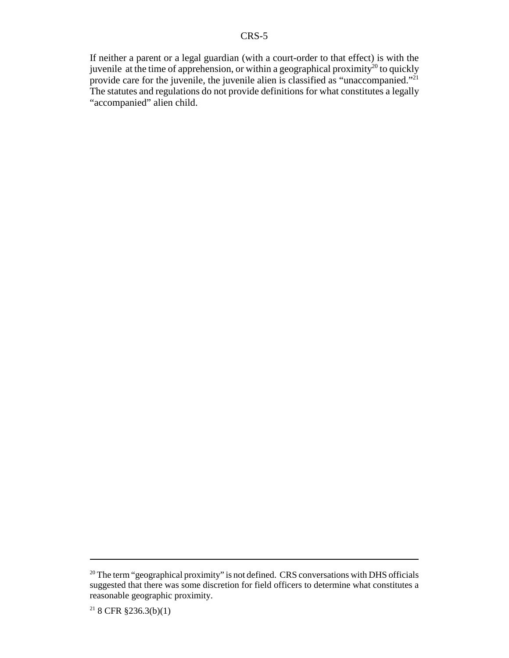If neither a parent or a legal guardian (with a court-order to that effect) is with the juvenile at the time of apprehension, or within a geographical proximity<sup>20</sup> to quickly provide care for the juvenile, the juvenile alien is classified as "unaccompanied."<sup>21</sup> The statutes and regulations do not provide definitions for what constitutes a legally "accompanied" alien child.

<sup>&</sup>lt;sup>20</sup> The term "geographical proximity" is not defined. CRS conversations with DHS officials suggested that there was some discretion for field officers to determine what constitutes a reasonable geographic proximity.

<sup>&</sup>lt;sup>21</sup> 8 CFR §236.3(b)(1)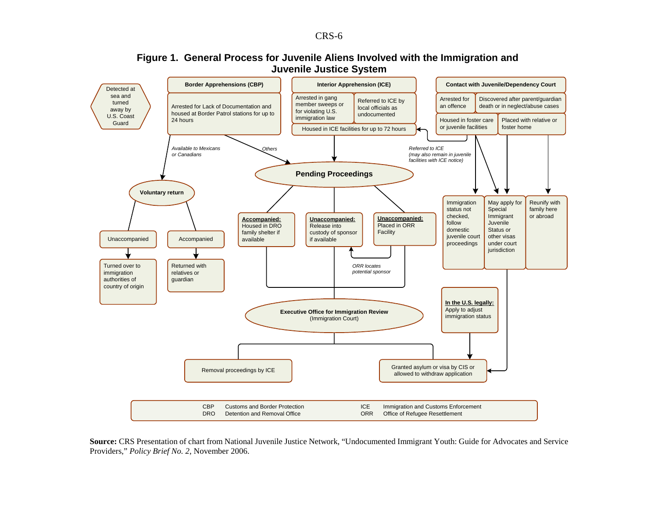#### **Figure 1. General Process for Juvenile Aliens Involved with the Immigration and Juvenile Justice System**



**Source:** CRS Presentation of chart from National Juvenile Justice Network, "Undocumented Immigrant Youth: Guide for Advocates and Service Providers," *Policy Brief No. 2*, November 2006.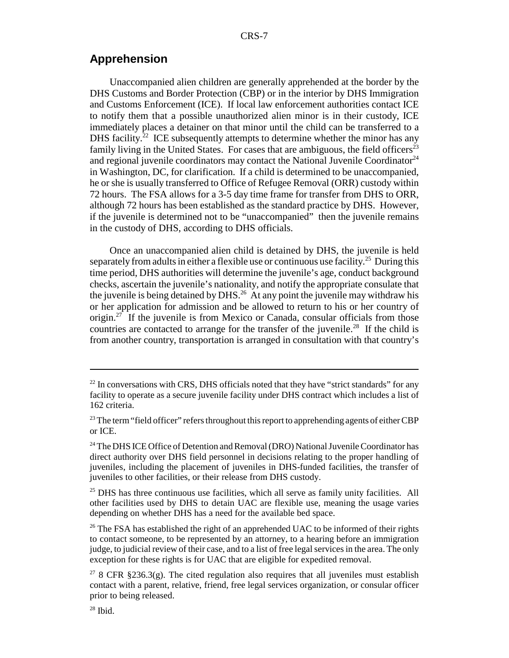## **Apprehension**

Unaccompanied alien children are generally apprehended at the border by the DHS Customs and Border Protection (CBP) or in the interior by DHS Immigration and Customs Enforcement (ICE). If local law enforcement authorities contact ICE to notify them that a possible unauthorized alien minor is in their custody, ICE immediately places a detainer on that minor until the child can be transferred to a DHS facility.<sup>22</sup> ICE subsequently attempts to determine whether the minor has any family living in the United States. For cases that are ambiguous, the field officers<sup>23</sup> and regional juvenile coordinators may contact the National Juvenile Coordinator<sup>24</sup> in Washington, DC, for clarification. If a child is determined to be unaccompanied, he or she is usually transferred to Office of Refugee Removal (ORR) custody within 72 hours. The FSA allows for a 3-5 day time frame for transfer from DHS to ORR, although 72 hours has been established as the standard practice by DHS. However, if the juvenile is determined not to be "unaccompanied" then the juvenile remains in the custody of DHS, according to DHS officials.

Once an unaccompanied alien child is detained by DHS, the juvenile is held separately from adults in either a flexible use or continuous use facility.<sup>25</sup> During this time period, DHS authorities will determine the juvenile's age, conduct background checks, ascertain the juvenile's nationality, and notify the appropriate consulate that the juvenile is being detained by DHS.<sup>26</sup> At any point the juvenile may withdraw his or her application for admission and be allowed to return to his or her country of origin.<sup>27</sup> If the juvenile is from Mexico or Canada, consular officials from those countries are contacted to arrange for the transfer of the juvenile.<sup>28</sup> If the child is from another country, transportation is arranged in consultation with that country's

 $25$  DHS has three continuous use facilities, which all serve as family unity facilities. All other facilities used by DHS to detain UAC are flexible use, meaning the usage varies depending on whether DHS has a need for the available bed space.

<sup>26</sup> The FSA has established the right of an apprehended UAC to be informed of their rights to contact someone, to be represented by an attorney, to a hearing before an immigration judge, to judicial review of their case, and to a list of free legal services in the area. The only exception for these rights is for UAC that are eligible for expedited removal.

<sup>&</sup>lt;sup>22</sup> In conversations with CRS, DHS officials noted that they have "strict standards" for any facility to operate as a secure juvenile facility under DHS contract which includes a list of 162 criteria.

<sup>&</sup>lt;sup>23</sup> The term "field officer" refers throughout this report to apprehending agents of either CBP or ICE.

<sup>&</sup>lt;sup>24</sup> The DHS ICE Office of Detention and Removal (DRO) National Juvenile Coordinator has direct authority over DHS field personnel in decisions relating to the proper handling of juveniles, including the placement of juveniles in DHS-funded facilities, the transfer of juveniles to other facilities, or their release from DHS custody.

<sup>&</sup>lt;sup>27</sup> 8 CFR §236.3(g). The cited regulation also requires that all juveniles must establish contact with a parent, relative, friend, free legal services organization, or consular officer prior to being released.

 $28$  Ibid.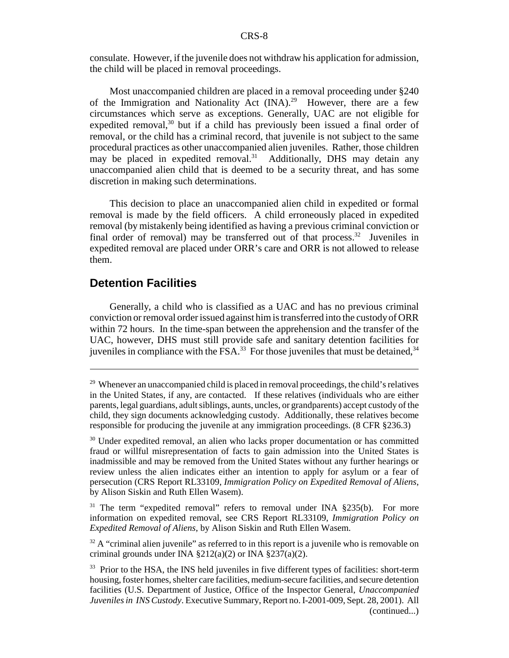consulate. However, if the juvenile does not withdraw his application for admission, the child will be placed in removal proceedings.

Most unaccompanied children are placed in a removal proceeding under §240 of the Immigration and Nationality Act  $(INA).^{29}$  However, there are a few circumstances which serve as exceptions. Generally, UAC are not eligible for expedited removal,<sup>30</sup> but if a child has previously been issued a final order of removal, or the child has a criminal record, that juvenile is not subject to the same procedural practices as other unaccompanied alien juveniles. Rather, those children may be placed in expedited removal. $31$  Additionally, DHS may detain any unaccompanied alien child that is deemed to be a security threat, and has some discretion in making such determinations.

This decision to place an unaccompanied alien child in expedited or formal removal is made by the field officers. A child erroneously placed in expedited removal (by mistakenly being identified as having a previous criminal conviction or final order of removal) may be transferred out of that process.<sup>32</sup> Juveniles in expedited removal are placed under ORR's care and ORR is not allowed to release them.

#### **Detention Facilities**

Generally, a child who is classified as a UAC and has no previous criminal conviction or removal order issued against him is transferred into the custody of ORR within 72 hours. In the time-span between the apprehension and the transfer of the UAC, however, DHS must still provide safe and sanitary detention facilities for juveniles in compliance with the  $\overline{FSA}^{33}$  For those juveniles that must be detained,  $34$ 

<sup>31</sup> The term "expedited removal" refers to removal under INA §235(b). For more information on expedited removal, see CRS Report RL33109, *Immigration Policy on Expedited Removal of Aliens*, by Alison Siskin and Ruth Ellen Wasem.

 $32$  A "criminal alien juvenile" as referred to in this report is a juvenile who is removable on criminal grounds under INA  $\S212(a)(2)$  or INA  $\S237(a)(2)$ .

 $29$  Whenever an unaccompanied child is placed in removal proceedings, the child's relatives in the United States, if any, are contacted. If these relatives (individuals who are either parents, legal guardians, adult siblings, aunts, uncles, or grandparents) accept custody of the child, they sign documents acknowledging custody. Additionally, these relatives become responsible for producing the juvenile at any immigration proceedings. (8 CFR §236.3)

<sup>&</sup>lt;sup>30</sup> Under expedited removal, an alien who lacks proper documentation or has committed fraud or willful misrepresentation of facts to gain admission into the United States is inadmissible and may be removed from the United States without any further hearings or review unless the alien indicates either an intention to apply for asylum or a fear of persecution (CRS Report RL33109, *Immigration Policy on Expedited Removal of Aliens*, by Alison Siskin and Ruth Ellen Wasem).

<sup>&</sup>lt;sup>33</sup> Prior to the HSA, the INS held juveniles in five different types of facilities: short-term housing, foster homes, shelter care facilities, medium-secure facilities, and secure detention facilities (U.S. Department of Justice, Office of the Inspector General, *Unaccompanied Juveniles in INS Custody*. Executive Summary, Report no. I-2001-009, Sept. 28, 2001). All (continued...)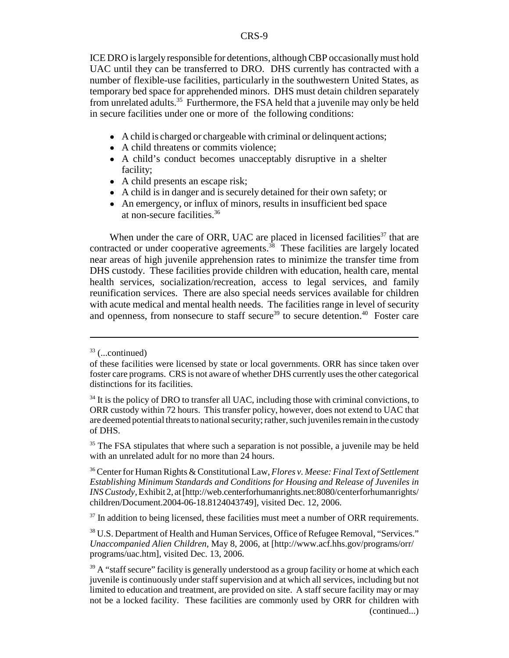ICE DRO is largely responsible for detentions, although CBP occasionally must hold UAC until they can be transferred to DRO. DHS currently has contracted with a number of flexible-use facilities, particularly in the southwestern United States, as temporary bed space for apprehended minors. DHS must detain children separately from unrelated adults.<sup>35</sup> Furthermore, the FSA held that a juvenile may only be held in secure facilities under one or more of the following conditions:

- A child is charged or chargeable with criminal or delinquent actions;
- A child threatens or commits violence;
- A child's conduct becomes unacceptably disruptive in a shelter facility;
- A child presents an escape risk;
- ! A child is in danger and is securely detained for their own safety; or
- An emergency, or influx of minors, results in insufficient bed space at non-secure facilities.36

When under the care of ORR, UAC are placed in licensed facilities $37$  that are contracted or under cooperative agreements. $3<sup>8</sup>$  These facilities are largely located near areas of high juvenile apprehension rates to minimize the transfer time from DHS custody. These facilities provide children with education, health care, mental health services, socialization/recreation, access to legal services, and family reunification services. There are also special needs services available for children with acute medical and mental health needs. The facilities range in level of security and openness, from nonsecure to staff secure<sup>39</sup> to secure detention.<sup>40</sup> Foster care

 $33$  (...continued)

of these facilities were licensed by state or local governments. ORR has since taken over foster care programs. CRS is not aware of whether DHS currently uses the other categorical distinctions for its facilities.

 $34$  It is the policy of DRO to transfer all UAC, including those with criminal convictions, to ORR custody within 72 hours. This transfer policy, however, does not extend to UAC that are deemed potential threats to national security; rather, such juveniles remain in the custody of DHS.

<sup>&</sup>lt;sup>35</sup> The FSA stipulates that where such a separation is not possible, a juvenile may be held with an unrelated adult for no more than 24 hours.

<sup>36</sup> Center for Human Rights & Constitutional Law, *Flores v. Meese: Final Text of Settlement Establishing Minimum Standards and Conditions for Housing and Release of Juveniles in INS Custody*, Exhibit 2, at [http://web.centerforhumanrights.net:8080/centerforhumanrights/ children/Document.2004-06-18.8124043749], visited Dec. 12, 2006.

 $37$  In addition to being licensed, these facilities must meet a number of ORR requirements.

<sup>38</sup> U.S. Department of Health and Human Services, Office of Refugee Removal, "Services." *Unaccompanied Alien Children*, May 8, 2006, at [http://www.acf.hhs.gov/programs/orr/ programs/uac.htm], visited Dec. 13, 2006.

 $39$  A "staff secure" facility is generally understood as a group facility or home at which each juvenile is continuously under staff supervision and at which all services, including but not limited to education and treatment, are provided on site. A staff secure facility may or may not be a locked facility. These facilities are commonly used by ORR for children with (continued...)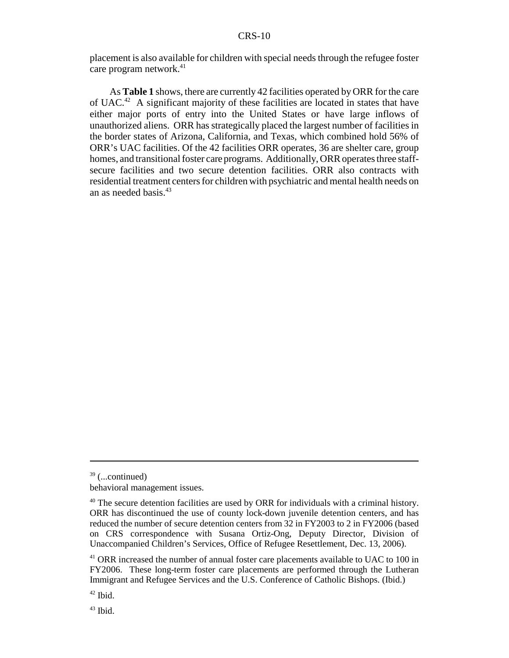placement is also available for children with special needs through the refugee foster care program network. $41$ 

As **Table 1** shows, there are currently 42 facilities operated by ORR for the care of UAC.42 A significant majority of these facilities are located in states that have either major ports of entry into the United States or have large inflows of unauthorized aliens. ORR has strategically placed the largest number of facilities in the border states of Arizona, California, and Texas, which combined hold 56% of ORR's UAC facilities. Of the 42 facilities ORR operates, 36 are shelter care, group homes, and transitional foster care programs. Additionally, ORR operates three staffsecure facilities and two secure detention facilities. ORR also contracts with residential treatment centers for children with psychiatric and mental health needs on an as needed basis.<sup>43</sup>

 $39$  (...continued)

behavioral management issues.

<sup>&</sup>lt;sup>40</sup> The secure detention facilities are used by ORR for individuals with a criminal history. ORR has discontinued the use of county lock-down juvenile detention centers, and has reduced the number of secure detention centers from 32 in FY2003 to 2 in FY2006 (based on CRS correspondence with Susana Ortiz-Ong, Deputy Director, Division of Unaccompanied Children's Services, Office of Refugee Resettlement, Dec. 13, 2006).

<sup>&</sup>lt;sup>41</sup> ORR increased the number of annual foster care placements available to UAC to 100 in FY2006. These long-term foster care placements are performed through the Lutheran Immigrant and Refugee Services and the U.S. Conference of Catholic Bishops. (Ibid.)

 $42$  Ibid.

 $43$  Ibid.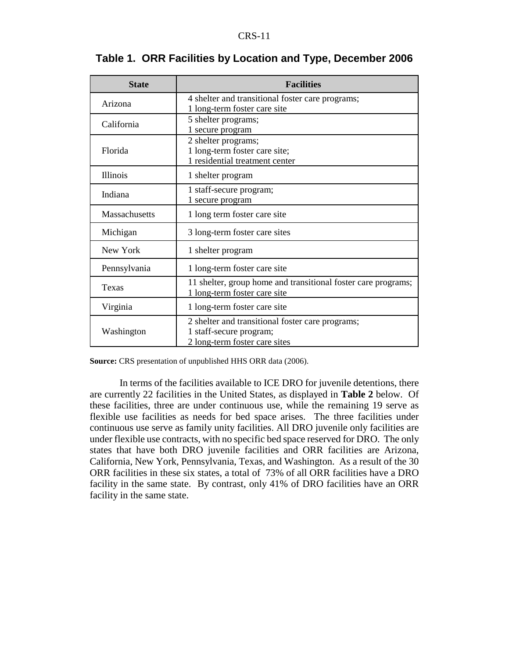| <b>State</b>  | <b>Facilities</b>                                                                             |  |  |  |  |  |
|---------------|-----------------------------------------------------------------------------------------------|--|--|--|--|--|
| Arizona       | 4 shelter and transitional foster care programs;                                              |  |  |  |  |  |
|               | 1 long-term foster care site                                                                  |  |  |  |  |  |
| California    | 5 shelter programs;<br>1 secure program                                                       |  |  |  |  |  |
|               | 2 shelter programs;                                                                           |  |  |  |  |  |
| Florida       | 1 long-term foster care site;                                                                 |  |  |  |  |  |
|               | 1 residential treatment center                                                                |  |  |  |  |  |
| Illinois      | 1 shelter program                                                                             |  |  |  |  |  |
| Indiana       | 1 staff-secure program;                                                                       |  |  |  |  |  |
|               | 1 secure program                                                                              |  |  |  |  |  |
| Massachusetts | 1 long term foster care site                                                                  |  |  |  |  |  |
| Michigan      | 3 long-term foster care sites                                                                 |  |  |  |  |  |
| New York      | 1 shelter program                                                                             |  |  |  |  |  |
| Pennsylvania  | 1 long-term foster care site                                                                  |  |  |  |  |  |
| Texas         | 11 shelter, group home and transitional foster care programs;<br>1 long-term foster care site |  |  |  |  |  |
| Virginia      | 1 long-term foster care site                                                                  |  |  |  |  |  |
|               | 2 shelter and transitional foster care programs;                                              |  |  |  |  |  |
| Washington    | 1 staff-secure program;                                                                       |  |  |  |  |  |
|               | 2 long-term foster care sites                                                                 |  |  |  |  |  |

## **Table 1. ORR Facilities by Location and Type, December 2006**

**Source:** CRS presentation of unpublished HHS ORR data (2006).

In terms of the facilities available to ICE DRO for juvenile detentions, there are currently 22 facilities in the United States, as displayed in **Table 2** below. Of these facilities, three are under continuous use, while the remaining 19 serve as flexible use facilities as needs for bed space arises. The three facilities under continuous use serve as family unity facilities. All DRO juvenile only facilities are under flexible use contracts, with no specific bed space reserved for DRO. The only states that have both DRO juvenile facilities and ORR facilities are Arizona, California, New York, Pennsylvania, Texas, and Washington. As a result of the 30 ORR facilities in these six states, a total of 73% of all ORR facilities have a DRO facility in the same state. By contrast, only 41% of DRO facilities have an ORR facility in the same state.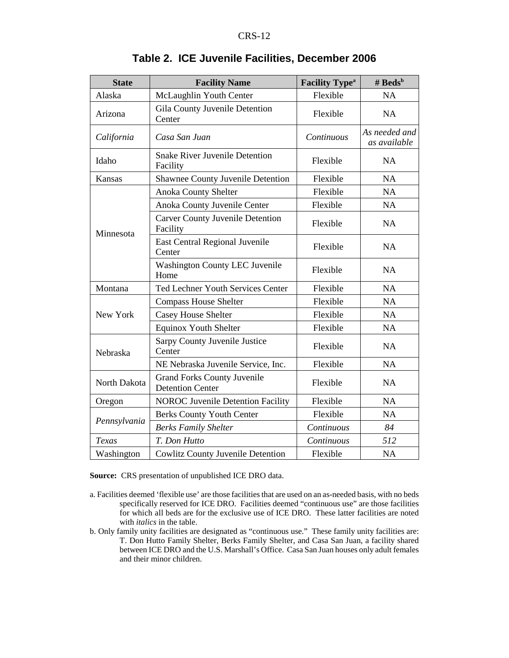| <b>State</b> | <b>Facility Name</b>                                          | <b>Facility Type<sup>a</sup></b> | # $\text{Beds}^b$             |  |  |
|--------------|---------------------------------------------------------------|----------------------------------|-------------------------------|--|--|
| Alaska       | McLaughlin Youth Center                                       | Flexible                         | <b>NA</b>                     |  |  |
| Arizona      | Gila County Juvenile Detention<br>Center                      | Flexible                         | NA                            |  |  |
| California   | Casa San Juan                                                 | Continuous                       | As needed and<br>as available |  |  |
| Idaho        | <b>Snake River Juvenile Detention</b><br>Facility             | Flexible                         | NA                            |  |  |
| Kansas       | <b>Shawnee County Juvenile Detention</b>                      | Flexible                         | <b>NA</b>                     |  |  |
|              | <b>Anoka County Shelter</b>                                   | Flexible                         | NA                            |  |  |
|              | Anoka County Juvenile Center                                  | Flexible                         | <b>NA</b>                     |  |  |
|              | <b>Carver County Juvenile Detention</b><br>Facility           | Flexible                         | <b>NA</b>                     |  |  |
| Minnesota    | East Central Regional Juvenile<br>Center                      | Flexible                         | <b>NA</b>                     |  |  |
|              | <b>Washington County LEC Juvenile</b><br>Home                 | Flexible                         | NA                            |  |  |
| Montana      | <b>Ted Lechner Youth Services Center</b>                      | Flexible                         | <b>NA</b>                     |  |  |
|              | <b>Compass House Shelter</b>                                  | Flexible                         | <b>NA</b>                     |  |  |
| New York     | <b>Casey House Shelter</b>                                    | Flexible                         | <b>NA</b>                     |  |  |
|              | <b>Equinox Youth Shelter</b>                                  | Flexible                         | <b>NA</b>                     |  |  |
| Nebraska     | Sarpy County Juvenile Justice<br>Center                       | Flexible                         | NA                            |  |  |
|              | NE Nebraska Juvenile Service, Inc.                            | Flexible                         | <b>NA</b>                     |  |  |
| North Dakota | <b>Grand Forks County Juvenile</b><br><b>Detention Center</b> | Flexible                         | <b>NA</b>                     |  |  |
| Oregon       | <b>NOROC Juvenile Detention Facility</b>                      | Flexible                         | NA                            |  |  |
|              | <b>Berks County Youth Center</b>                              | Flexible                         | NA                            |  |  |
| Pennsylvania | <b>Berks Family Shelter</b>                                   | Continuous                       | 84                            |  |  |
| Texas        | T. Don Hutto                                                  | Continuous                       | 512                           |  |  |
| Washington   | <b>Cowlitz County Juvenile Detention</b>                      | Flexible                         | <b>NA</b>                     |  |  |

## **Table 2. ICE Juvenile Facilities, December 2006**

**Source:** CRS presentation of unpublished ICE DRO data.

- a. Facilities deemed 'flexible use' are those facilities that are used on an as-needed basis, with no beds specifically reserved for ICE DRO. Facilities deemed "continuous use" are those facilities for which all beds are for the exclusive use of ICE DRO. These latter facilities are noted with *italics* in the table.
- b. Only family unity facilities are designated as "continuous use." These family unity facilities are: T. Don Hutto Family Shelter, Berks Family Shelter, and Casa San Juan, a facility shared between ICE DRO and the U.S. Marshall's Office. Casa San Juan houses only adult females and their minor children.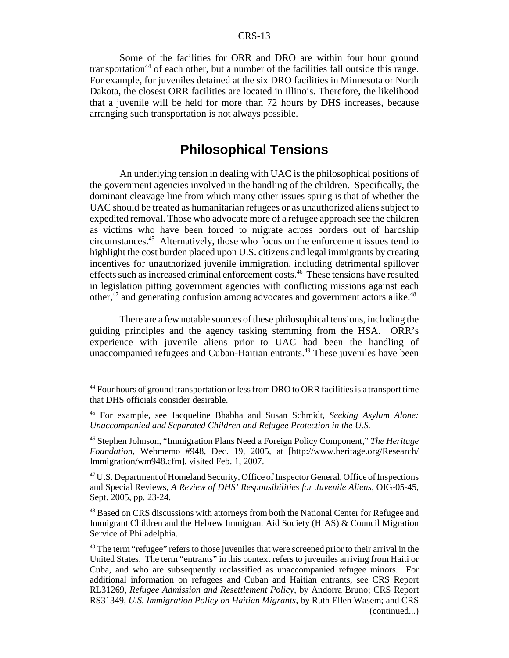Some of the facilities for ORR and DRO are within four hour ground transportation<sup>44</sup> of each other, but a number of the facilities fall outside this range. For example, for juveniles detained at the six DRO facilities in Minnesota or North Dakota, the closest ORR facilities are located in Illinois. Therefore, the likelihood that a juvenile will be held for more than 72 hours by DHS increases, because arranging such transportation is not always possible.

## **Philosophical Tensions**

An underlying tension in dealing with UAC is the philosophical positions of the government agencies involved in the handling of the children. Specifically, the dominant cleavage line from which many other issues spring is that of whether the UAC should be treated as humanitarian refugees or as unauthorized aliens subject to expedited removal. Those who advocate more of a refugee approach see the children as victims who have been forced to migrate across borders out of hardship circumstances.45 Alternatively, those who focus on the enforcement issues tend to highlight the cost burden placed upon U.S. citizens and legal immigrants by creating incentives for unauthorized juvenile immigration, including detrimental spillover effects such as increased criminal enforcement costs.46 These tensions have resulted in legislation pitting government agencies with conflicting missions against each other, $47$  and generating confusion among advocates and government actors alike. $48$ 

There are a few notable sources of these philosophical tensions, including the guiding principles and the agency tasking stemming from the HSA. ORR's experience with juvenile aliens prior to UAC had been the handling of unaccompanied refugees and Cuban-Haitian entrants.<sup>49</sup> These juveniles have been

<sup>&</sup>lt;sup>44</sup> Four hours of ground transportation or less from DRO to ORR facilities is a transport time that DHS officials consider desirable.

<sup>45</sup> For example, see Jacqueline Bhabha and Susan Schmidt, *Seeking Asylum Alone: Unaccompanied and Separated Children and Refugee Protection in the U.S.*

<sup>46</sup> Stephen Johnson, "Immigration Plans Need a Foreign Policy Component," *The Heritage Foundation*, Webmemo #948, Dec. 19, 2005, at [http://www.heritage.org/Research/ Immigration/wm948.cfm], visited Feb. 1, 2007.

<sup>&</sup>lt;sup>47</sup> U.S. Department of Homeland Security, Office of Inspector General, Office of Inspections and Special Reviews, *A Review of DHS' Responsibilities for Juvenile Aliens*, OIG-05-45, Sept. 2005, pp. 23-24.

<sup>&</sup>lt;sup>48</sup> Based on CRS discussions with attorneys from both the National Center for Refugee and Immigrant Children and the Hebrew Immigrant Aid Society (HIAS) & Council Migration Service of Philadelphia.

 $49$  The term "refugee" refers to those juveniles that were screened prior to their arrival in the United States. The term "entrants" in this context refers to juveniles arriving from Haiti or Cuba, and who are subsequently reclassified as unaccompanied refugee minors. For additional information on refugees and Cuban and Haitian entrants, see CRS Report RL31269, *Refugee Admission and Resettlement Policy*, by Andorra Bruno; CRS Report RS31349, *U.S. Immigration Policy on Haitian Migrants*, by Ruth Ellen Wasem; and CRS (continued...)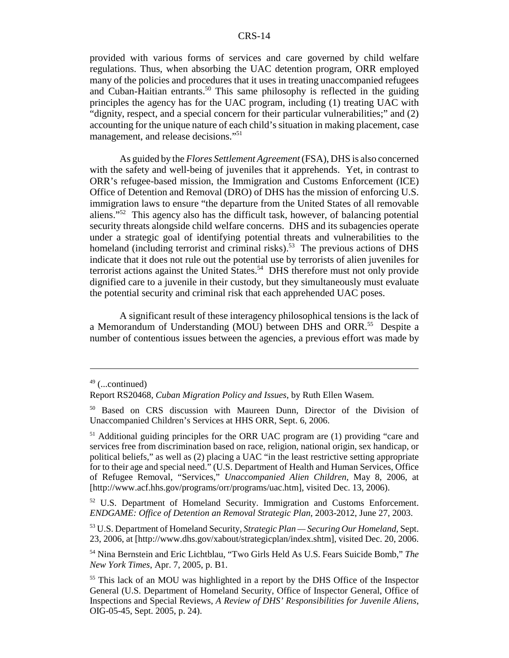provided with various forms of services and care governed by child welfare regulations. Thus, when absorbing the UAC detention program, ORR employed many of the policies and procedures that it uses in treating unaccompanied refugees and Cuban-Haitian entrants.<sup>50</sup> This same philosophy is reflected in the guiding principles the agency has for the UAC program, including (1) treating UAC with "dignity, respect, and a special concern for their particular vulnerabilities;" and (2) accounting for the unique nature of each child's situation in making placement, case management, and release decisions."<sup>51</sup>

As guided by the *Flores Settlement Agreement* (FSA), DHS is also concerned with the safety and well-being of juveniles that it apprehends. Yet, in contrast to ORR's refugee-based mission, the Immigration and Customs Enforcement (ICE) Office of Detention and Removal (DRO) of DHS has the mission of enforcing U.S. immigration laws to ensure "the departure from the United States of all removable aliens."52 This agency also has the difficult task, however, of balancing potential security threats alongside child welfare concerns. DHS and its subagencies operate under a strategic goal of identifying potential threats and vulnerabilities to the homeland (including terrorist and criminal risks).<sup>53</sup> The previous actions of DHS indicate that it does not rule out the potential use by terrorists of alien juveniles for terrorist actions against the United States.<sup>54</sup> DHS therefore must not only provide dignified care to a juvenile in their custody, but they simultaneously must evaluate the potential security and criminal risk that each apprehended UAC poses.

A significant result of these interagency philosophical tensions is the lack of a Memorandum of Understanding (MOU) between DHS and ORR.<sup>55</sup> Despite a number of contentious issues between the agencies, a previous effort was made by

 $49$  (...continued)

Report RS20468, *Cuban Migration Policy and Issues*, by Ruth Ellen Wasem.

<sup>50</sup> Based on CRS discussion with Maureen Dunn, Director of the Division of Unaccompanied Children's Services at HHS ORR, Sept. 6, 2006.

<sup>51</sup> Additional guiding principles for the ORR UAC program are (1) providing "care and services free from discrimination based on race, religion, national origin, sex handicap, or political beliefs," as well as (2) placing a UAC "in the least restrictive setting appropriate for to their age and special need." (U.S. Department of Health and Human Services, Office of Refugee Removal, "Services," *Unaccompanied Alien Children*, May 8, 2006, at [http://www.acf.hhs.gov/programs/orr/programs/uac.htm], visited Dec. 13, 2006).

<sup>&</sup>lt;sup>52</sup> U.S. Department of Homeland Security. Immigration and Customs Enforcement. *ENDGAME: Office of Detention an Removal Strategic Plan*, 2003-2012, June 27, 2003.

<sup>53</sup> U.S. Department of Homeland Security, *Strategic Plan — Securing Our Homeland*, Sept. 23, 2006, at [http://www.dhs.gov/xabout/strategicplan/index.shtm], visited Dec. 20, 2006.

<sup>54</sup> Nina Bernstein and Eric Lichtblau, "Two Girls Held As U.S. Fears Suicide Bomb," *The New York Times*, Apr. 7, 2005, p. B1.

<sup>55</sup> This lack of an MOU was highlighted in a report by the DHS Office of the Inspector General (U.S. Department of Homeland Security, Office of Inspector General, Office of Inspections and Special Reviews, *A Review of DHS' Responsibilities for Juvenile Aliens*, OIG-05-45, Sept. 2005, p. 24).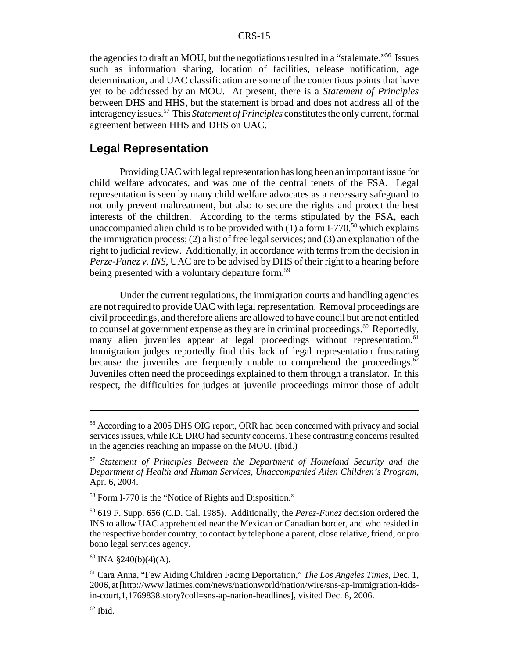the agencies to draft an MOU, but the negotiations resulted in a "stalemate."56 Issues such as information sharing, location of facilities, release notification, age determination, and UAC classification are some of the contentious points that have yet to be addressed by an MOU. At present, there is a *Statement of Principles* between DHS and HHS, but the statement is broad and does not address all of the interagency issues.57 This *Statement of Principles* constitutes the only current, formal agreement between HHS and DHS on UAC.

## **Legal Representation**

Providing UAC with legal representation has long been an important issue for child welfare advocates, and was one of the central tenets of the FSA. Legal representation is seen by many child welfare advocates as a necessary safeguard to not only prevent maltreatment, but also to secure the rights and protect the best interests of the children. According to the terms stipulated by the FSA, each unaccompanied alien child is to be provided with  $(1)$  a form I-770,<sup>58</sup> which explains the immigration process; (2) a list of free legal services; and (3) an explanation of the right to judicial review. Additionally, in accordance with terms from the decision in *Perze-Funez v. INS*, UAC are to be advised by DHS of their right to a hearing before being presented with a voluntary departure form.<sup>59</sup>

Under the current regulations, the immigration courts and handling agencies are not required to provide UAC with legal representation. Removal proceedings are civil proceedings, and therefore aliens are allowed to have council but are not entitled to counsel at government expense as they are in criminal proceedings. $60$  Reportedly, many alien juveniles appear at legal proceedings without representation.<sup>61</sup> Immigration judges reportedly find this lack of legal representation frustrating because the juveniles are frequently unable to comprehend the proceedings.<sup>62</sup> Juveniles often need the proceedings explained to them through a translator. In this respect, the difficulties for judges at juvenile proceedings mirror those of adult

 $60$  INA §240(b)(4)(A).

<sup>56</sup> According to a 2005 DHS OIG report, ORR had been concerned with privacy and social services issues, while ICE DRO had security concerns. These contrasting concerns resulted in the agencies reaching an impasse on the MOU. (Ibid.)

<sup>57</sup> *Statement of Principles Between the Department of Homeland Security and the Department of Health and Human Services, Unaccompanied Alien Children's Program*, Apr. 6, 2004.

<sup>58</sup> Form I-770 is the "Notice of Rights and Disposition."

<sup>59 619</sup> F. Supp. 656 (C.D. Cal. 1985). Additionally, the *Perez-Funez* decision ordered the INS to allow UAC apprehended near the Mexican or Canadian border, and who resided in the respective border country, to contact by telephone a parent, close relative, friend, or pro bono legal services agency.

<sup>61</sup> Cara Anna, "Few Aiding Children Facing Deportation," *The Los Angeles Times*, Dec. 1, 2006, at [http://www.latimes.com/news/nationworld/nation/wire/sns-ap-immigration-kidsin-court,1,1769838.story?coll=sns-ap-nation-headlines], visited Dec. 8, 2006.

 $62$  Ibid.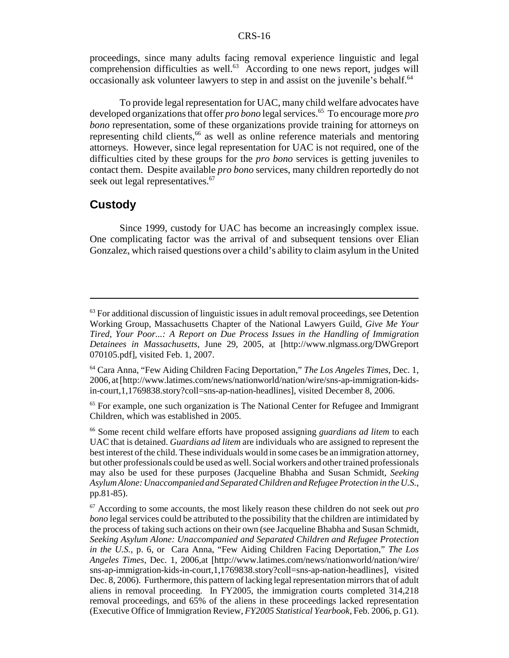proceedings, since many adults facing removal experience linguistic and legal comprehension difficulties as well.<sup>63</sup> According to one news report, judges will occasionally ask volunteer lawyers to step in and assist on the juvenile's behalf.<sup>64</sup>

To provide legal representation for UAC, many child welfare advocates have developed organizations that offer *pro bono* legal services.65 To encourage more *pro bono* representation, some of these organizations provide training for attorneys on representing child clients,<sup>66</sup> as well as online reference materials and mentoring attorneys. However, since legal representation for UAC is not required, one of the difficulties cited by these groups for the *pro bono* services is getting juveniles to contact them. Despite available *pro bono* services, many children reportedly do not seek out legal representatives.<sup>67</sup>

#### **Custody**

Since 1999, custody for UAC has become an increasingly complex issue. One complicating factor was the arrival of and subsequent tensions over Elian Gonzalez, which raised questions over a child's ability to claim asylum in the United

 $<sup>63</sup>$  For additional discussion of linguistic issues in adult removal proceedings, see Detention</sup> Working Group, Massachusetts Chapter of the National Lawyers Guild, *Give Me Your Tired, Your Poor...: A Report on Due Process Issues in the Handling of Immigration Detainees in Massachusetts*, June 29, 2005, at [http://www.nlgmass.org/DWGreport 070105.pdf], visited Feb. 1, 2007.

<sup>64</sup> Cara Anna, "Few Aiding Children Facing Deportation," *The Los Angeles Times*, Dec. 1, 2006, at [http://www.latimes.com/news/nationworld/nation/wire/sns-ap-immigration-kidsin-court,1,1769838.story?coll=sns-ap-nation-headlines], visited December 8, 2006.

<sup>&</sup>lt;sup>65</sup> For example, one such organization is The National Center for Refugee and Immigrant Children, which was established in 2005.

<sup>66</sup> Some recent child welfare efforts have proposed assigning *guardians ad litem* to each UAC that is detained. *Guardians ad litem* are individuals who are assigned to represent the best interest of the child. These individuals would in some cases be an immigration attorney, but other professionals could be used as well. Social workers and other trained professionals may also be used for these purposes (Jacqueline Bhabha and Susan Schmidt, *Seeking Asylum Alone: Unaccompanied and Separated Children and Refugee Protection in the U.S.*, pp.81-85).

<sup>67</sup> According to some accounts, the most likely reason these children do not seek out *pro bono* legal services could be attributed to the possibility that the children are intimidated by the process of taking such actions on their own (see Jacqueline Bhabha and Susan Schmidt, *Seeking Asylum Alone: Unaccompanied and Separated Children and Refugee Protection in the U.S.*, p. 6, or Cara Anna, "Few Aiding Children Facing Deportation," *The Los Angeles Times*, Dec. 1, 2006,at [http://www.latimes.com/news/nationworld/nation/wire/ sns-ap-immigration-kids-in-court,1,1769838.story?coll=sns-ap-nation-headlines], visited Dec. 8, 2006). Furthermore, this pattern of lacking legal representation mirrors that of adult aliens in removal proceeding. In FY2005, the immigration courts completed 314,218 removal proceedings, and 65% of the aliens in these proceedings lacked representation (Executive Office of Immigration Review, *FY2005 Statistical Yearbook*, Feb. 2006, p. G1).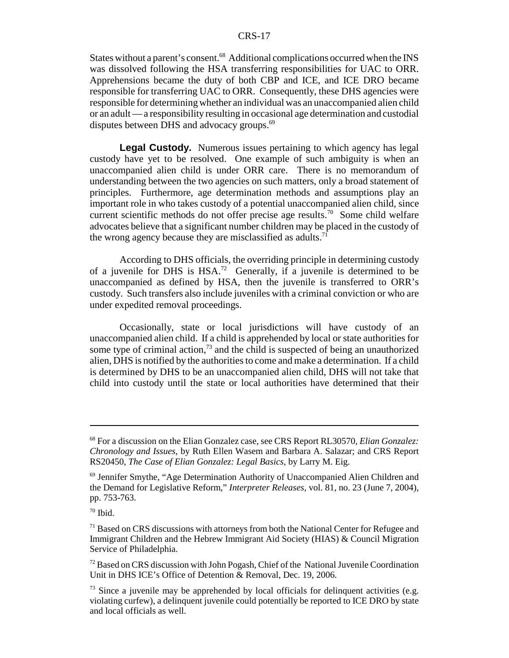States without a parent's consent.<sup>68</sup> Additional complications occurred when the INS was dissolved following the HSA transferring responsibilities for UAC to ORR. Apprehensions became the duty of both CBP and ICE, and ICE DRO became responsible for transferring UAC to ORR. Consequently, these DHS agencies were responsible for determining whether an individual was an unaccompanied alien child or an adult — a responsibility resulting in occasional age determination and custodial disputes between DHS and advocacy groups.<sup>69</sup>

**Legal Custody.** Numerous issues pertaining to which agency has legal custody have yet to be resolved. One example of such ambiguity is when an unaccompanied alien child is under ORR care. There is no memorandum of understanding between the two agencies on such matters, only a broad statement of principles. Furthermore, age determination methods and assumptions play an important role in who takes custody of a potential unaccompanied alien child, since current scientific methods do not offer precise age results.<sup>70</sup> Some child welfare advocates believe that a significant number children may be placed in the custody of the wrong agency because they are misclassified as adults.<sup>71</sup>

According to DHS officials, the overriding principle in determining custody of a juvenile for DHS is HSA.72 Generally, if a juvenile is determined to be unaccompanied as defined by HSA, then the juvenile is transferred to ORR's custody. Such transfers also include juveniles with a criminal conviction or who are under expedited removal proceedings.

Occasionally, state or local jurisdictions will have custody of an unaccompanied alien child. If a child is apprehended by local or state authorities for some type of criminal action, $73$  and the child is suspected of being an unauthorized alien, DHS is notified by the authorities to come and make a determination. If a child is determined by DHS to be an unaccompanied alien child, DHS will not take that child into custody until the state or local authorities have determined that their

<sup>68</sup> For a discussion on the Elian Gonzalez case, see CRS Report RL30570, *Elian Gonzalez: Chronology and Issues*, by Ruth Ellen Wasem and Barbara A. Salazar; and CRS Report RS20450, *The Case of Elian Gonzalez: Legal Basics*, by Larry M. Eig.

<sup>69</sup> Jennifer Smythe, "Age Determination Authority of Unaccompanied Alien Children and the Demand for Legislative Reform," *Interpreter Releases*, vol. 81, no. 23 (June 7, 2004), pp. 753-763.

 $70$  Ibid.

 $<sup>71</sup>$  Based on CRS discussions with attorneys from both the National Center for Refugee and</sup> Immigrant Children and the Hebrew Immigrant Aid Society (HIAS) & Council Migration Service of Philadelphia.

 $72$  Based on CRS discussion with John Pogash, Chief of the National Juvenile Coordination Unit in DHS ICE's Office of Detention & Removal, Dec. 19, 2006.

 $73$  Since a juvenile may be apprehended by local officials for delinquent activities (e.g. violating curfew), a delinquent juvenile could potentially be reported to ICE DRO by state and local officials as well.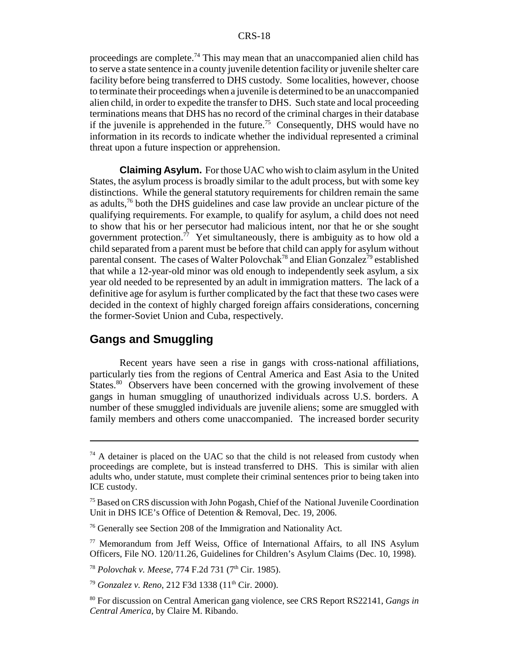proceedings are complete.<sup>74</sup> This may mean that an unaccompanied alien child has to serve a state sentence in a county juvenile detention facility or juvenile shelter care facility before being transferred to DHS custody. Some localities, however, choose to terminate their proceedings when a juvenile is determined to be an unaccompanied alien child, in order to expedite the transfer to DHS. Such state and local proceeding terminations means that DHS has no record of the criminal charges in their database if the juvenile is apprehended in the future.<sup>75</sup> Consequently, DHS would have no information in its records to indicate whether the individual represented a criminal threat upon a future inspection or apprehension.

**Claiming Asylum.** For those UAC who wish to claim asylum in the United States, the asylum process is broadly similar to the adult process, but with some key distinctions. While the general statutory requirements for children remain the same as adults,76 both the DHS guidelines and case law provide an unclear picture of the qualifying requirements. For example, to qualify for asylum, a child does not need to show that his or her persecutor had malicious intent, nor that he or she sought government protection.<sup>77</sup> Yet simultaneously, there is ambiguity as to how old a child separated from a parent must be before that child can apply for asylum without parental consent. The cases of Walter Polovchak<sup>78</sup> and Elian Gonzalez<sup>79</sup> established that while a 12-year-old minor was old enough to independently seek asylum, a six year old needed to be represented by an adult in immigration matters. The lack of a definitive age for asylum is further complicated by the fact that these two cases were decided in the context of highly charged foreign affairs considerations, concerning the former-Soviet Union and Cuba, respectively.

## **Gangs and Smuggling**

Recent years have seen a rise in gangs with cross-national affiliations, particularly ties from the regions of Central America and East Asia to the United States.<sup>80</sup> Observers have been concerned with the growing involvement of these gangs in human smuggling of unauthorized individuals across U.S. borders. A number of these smuggled individuals are juvenile aliens; some are smuggled with family members and others come unaccompanied. The increased border security

 $74$  A detainer is placed on the UAC so that the child is not released from custody when proceedings are complete, but is instead transferred to DHS. This is similar with alien adults who, under statute, must complete their criminal sentences prior to being taken into ICE custody.

<sup>&</sup>lt;sup>75</sup> Based on CRS discussion with John Pogash, Chief of the National Juvenile Coordination Unit in DHS ICE's Office of Detention & Removal, Dec. 19, 2006.

<sup>76</sup> Generally see Section 208 of the Immigration and Nationality Act.

<sup>77</sup> Memorandum from Jeff Weiss, Office of International Affairs, to all INS Asylum Officers, File NO. 120/11.26, Guidelines for Children's Asylum Claims (Dec. 10, 1998).

<sup>&</sup>lt;sup>78</sup> Polovchak v. Meese, 774 F.2d 731 (7<sup>th</sup> Cir. 1985).

<sup>&</sup>lt;sup>79</sup> *Gonzalez v. Reno*, 212 F3d 1338 (11<sup>th</sup> Cir. 2000).

<sup>80</sup> For discussion on Central American gang violence, see CRS Report RS22141, *Gangs in Central America*, by Claire M. Ribando.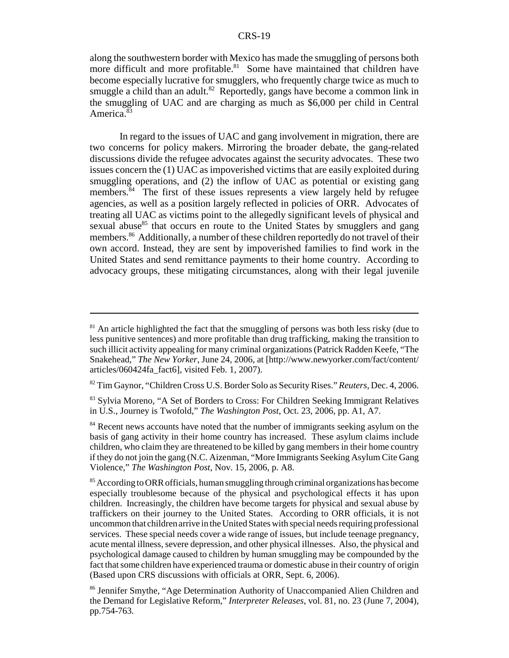along the southwestern border with Mexico has made the smuggling of persons both more difficult and more profitable.<sup>81</sup> Some have maintained that children have become especially lucrative for smugglers, who frequently charge twice as much to smuggle a child than an adult.<sup>82</sup> Reportedly, gangs have become a common link in the smuggling of UAC and are charging as much as \$6,000 per child in Central America.<sup>83</sup>

In regard to the issues of UAC and gang involvement in migration, there are two concerns for policy makers. Mirroring the broader debate, the gang-related discussions divide the refugee advocates against the security advocates. These two issues concern the (1) UAC as impoverished victims that are easily exploited during smuggling operations, and (2) the inflow of UAC as potential or existing gang members.<sup>84</sup> The first of these issues represents a view largely held by refugee agencies, as well as a position largely reflected in policies of ORR. Advocates of treating all UAC as victims point to the allegedly significant levels of physical and sexual abuse $85$  that occurs en route to the United States by smugglers and gang members.<sup>86</sup> Additionally, a number of these children reportedly do not travel of their own accord. Instead, they are sent by impoverished families to find work in the United States and send remittance payments to their home country. According to advocacy groups, these mitigating circumstances, along with their legal juvenile

 $81$  An article highlighted the fact that the smuggling of persons was both less risky (due to less punitive sentences) and more profitable than drug trafficking, making the transition to such illicit activity appealing for many criminal organizations (Patrick Radden Keefe, "The Snakehead," *The New Yorker*, June 24, 2006, at [http://www.newyorker.com/fact/content/ articles/060424fa\_fact6], visited Feb. 1, 2007).

<sup>82</sup> Tim Gaynor, "Children Cross U.S. Border Solo as Security Rises." *Reuters*, Dec. 4, 2006.

<sup>&</sup>lt;sup>83</sup> Sylvia Moreno, "A Set of Borders to Cross: For Children Seeking Immigrant Relatives in U.S., Journey is Twofold," *The Washington Post*, Oct. 23, 2006, pp. A1, A7.

<sup>&</sup>lt;sup>84</sup> Recent news accounts have noted that the number of immigrants seeking asylum on the basis of gang activity in their home country has increased. These asylum claims include children, who claim they are threatened to be killed by gang members in their home country if they do not join the gang (N.C. Aizenman, "More Immigrants Seeking Asylum Cite Gang Violence," *The Washington Post*, Nov. 15, 2006, p. A8.

 $85$  According to ORR officials, human smuggling through criminal organizations has become especially troublesome because of the physical and psychological effects it has upon children. Increasingly, the children have become targets for physical and sexual abuse by traffickers on their journey to the United States. According to ORR officials, it is not uncommon that children arrive in the United States with special needs requiring professional services. These special needs cover a wide range of issues, but include teenage pregnancy, acute mental illness, severe depression, and other physical illnesses. Also, the physical and psychological damage caused to children by human smuggling may be compounded by the fact that some children have experienced trauma or domestic abuse in their country of origin (Based upon CRS discussions with officials at ORR, Sept. 6, 2006).

<sup>86</sup> Jennifer Smythe, "Age Determination Authority of Unaccompanied Alien Children and the Demand for Legislative Reform," *Interpreter Releases*, vol. 81, no. 23 (June 7, 2004), pp.754-763.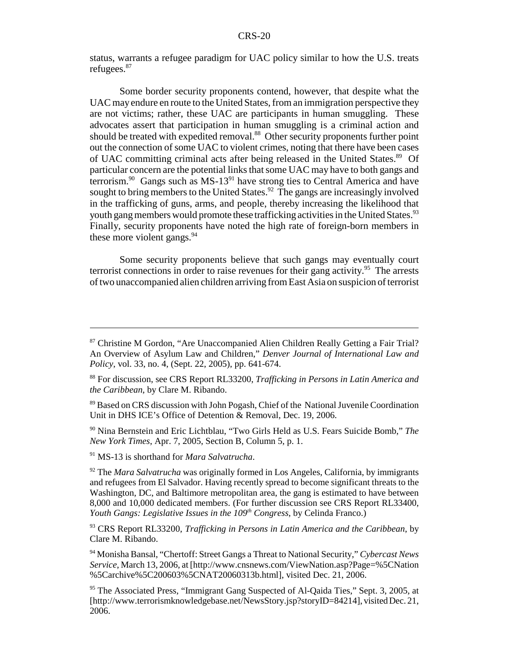status, warrants a refugee paradigm for UAC policy similar to how the U.S. treats refugees.87

Some border security proponents contend, however, that despite what the UAC may endure en route to the United States, from an immigration perspective they are not victims; rather, these UAC are participants in human smuggling. These advocates assert that participation in human smuggling is a criminal action and should be treated with expedited removal.<sup>88</sup> Other security proponents further point out the connection of some UAC to violent crimes, noting that there have been cases of UAC committing criminal acts after being released in the United States.<sup>89</sup> Of particular concern are the potential links that some UAC may have to both gangs and terrorism. $90$  Gangs such as MS-13 $91$  have strong ties to Central America and have sought to bring members to the United States.<sup>92</sup> The gangs are increasingly involved in the trafficking of guns, arms, and people, thereby increasing the likelihood that youth gang members would promote these trafficking activities in the United States.<sup>93</sup> Finally, security proponents have noted the high rate of foreign-born members in these more violent gangs. $94$ 

Some security proponents believe that such gangs may eventually court terrorist connections in order to raise revenues for their gang activity.<sup>95</sup> The arrests of two unaccompanied alien children arriving from East Asia on suspicion of terrorist

90 Nina Bernstein and Eric Lichtblau, "Two Girls Held as U.S. Fears Suicide Bomb," *The New York Times*, Apr. 7, 2005, Section B, Column 5, p. 1.

91 MS-13 is shorthand for *Mara Salvatrucha*.

<sup>92</sup> The *Mara Salvatrucha* was originally formed in Los Angeles, California, by immigrants and refugees from El Salvador. Having recently spread to become significant threats to the Washington, DC, and Baltimore metropolitan area, the gang is estimated to have between 8,000 and 10,000 dedicated members. (For further discussion see CRS Report RL33400, *Youth Gangs: Legislative Issues in the 109<sup>th</sup> Congress, by Celinda Franco.* 

93 CRS Report RL33200, *Trafficking in Persons in Latin America and the Caribbean*, by Clare M. Ribando.

94 Monisha Bansal, "Chertoff: Street Gangs a Threat to National Security," *Cybercast News Service*, March 13, 2006, at [http://www.cnsnews.com/ViewNation.asp?Page=%5CNation %5Carchive%5C200603%5CNAT20060313b.html], visited Dec. 21, 2006.

<sup>95</sup> The Associated Press, "Immigrant Gang Suspected of Al-Qaida Ties," Sept. 3, 2005, at [http://www.terrorismknowledgebase.net/NewsStory.jsp?storyID=84214], visited Dec. 21, 2006.

<sup>87</sup> Christine M Gordon, "Are Unaccompanied Alien Children Really Getting a Fair Trial? An Overview of Asylum Law and Children," *Denver Journal of International Law and Policy*, vol. 33, no. 4, (Sept. 22, 2005), pp. 641-674.

<sup>88</sup> For discussion, see CRS Report RL33200, *Trafficking in Persons in Latin America and the Caribbean*, by Clare M. Ribando.

<sup>89</sup> Based on CRS discussion with John Pogash, Chief of the National Juvenile Coordination Unit in DHS ICE's Office of Detention & Removal, Dec. 19, 2006.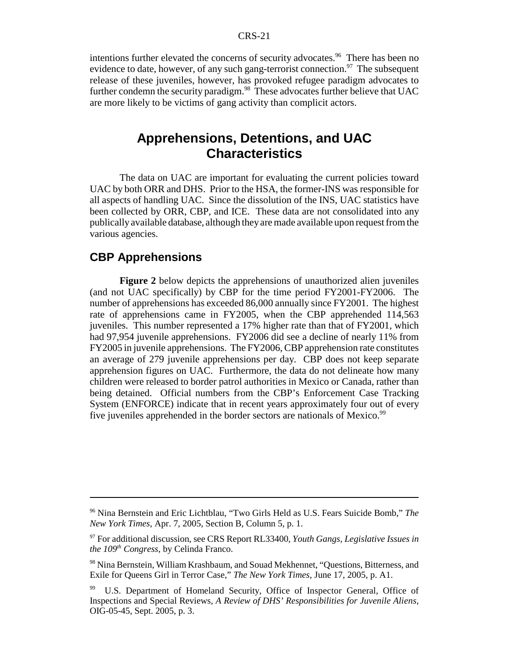intentions further elevated the concerns of security advocates.<sup>96</sup> There has been no evidence to date, however, of any such gang-terrorist connection.<sup>97</sup> The subsequent release of these juveniles, however, has provoked refugee paradigm advocates to further condemn the security paradigm.<sup>98</sup> These advocates further believe that UAC are more likely to be victims of gang activity than complicit actors.

## **Apprehensions, Detentions, and UAC Characteristics**

The data on UAC are important for evaluating the current policies toward UAC by both ORR and DHS. Prior to the HSA, the former-INS was responsible for all aspects of handling UAC. Since the dissolution of the INS, UAC statistics have been collected by ORR, CBP, and ICE. These data are not consolidated into any publically available database, although they are made available upon request from the various agencies.

## **CBP Apprehensions**

**Figure 2** below depicts the apprehensions of unauthorized alien juveniles (and not UAC specifically) by CBP for the time period FY2001-FY2006. The number of apprehensions has exceeded 86,000 annually since FY2001. The highest rate of apprehensions came in FY2005, when the CBP apprehended 114,563 juveniles. This number represented a 17% higher rate than that of FY2001, which had 97,954 juvenile apprehensions. FY2006 did see a decline of nearly 11% from FY2005 in juvenile apprehensions. The FY2006, CBP apprehension rate constitutes an average of 279 juvenile apprehensions per day. CBP does not keep separate apprehension figures on UAC. Furthermore, the data do not delineate how many children were released to border patrol authorities in Mexico or Canada, rather than being detained. Official numbers from the CBP's Enforcement Case Tracking System (ENFORCE) indicate that in recent years approximately four out of every five juveniles apprehended in the border sectors are nationals of Mexico.<sup>99</sup>

<sup>96</sup> Nina Bernstein and Eric Lichtblau, "Two Girls Held as U.S. Fears Suicide Bomb," *The New York Times*, Apr. 7, 2005, Section B, Column 5, p. 1.

<sup>97</sup> For additional discussion, see CRS Report RL33400, *Youth Gangs, Legislative Issues in the 109th Congress*, by Celinda Franco.

<sup>98</sup> Nina Bernstein, William Krashbaum, and Souad Mekhennet, "Questions, Bitterness, and Exile for Queens Girl in Terror Case," *The New York Times*, June 17, 2005, p. A1.

U.S. Department of Homeland Security, Office of Inspector General, Office of Inspections and Special Reviews, *A Review of DHS' Responsibilities for Juvenile Aliens*, OIG-05-45, Sept. 2005, p. 3.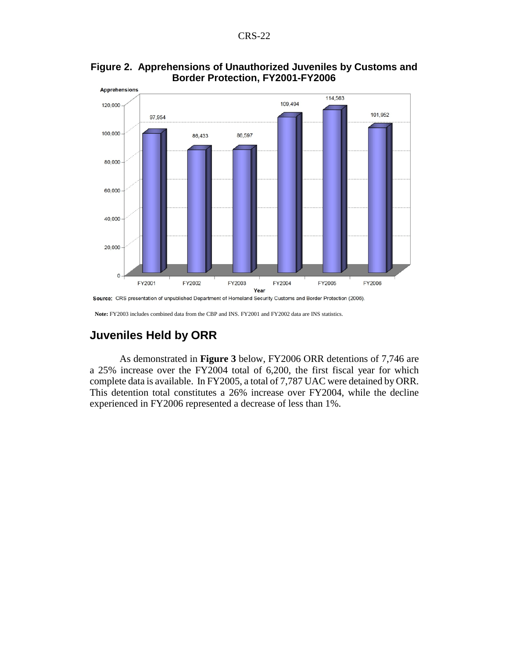

#### **Figure 2. Apprehensions of Unauthorized Juveniles by Customs and Border Protection, FY2001-FY2006**

## **Juveniles Held by ORR**

As demonstrated in **Figure 3** below, FY2006 ORR detentions of 7,746 are a 25% increase over the FY2004 total of 6,200, the first fiscal year for which complete data is available. In FY2005, a total of 7,787 UAC were detained by ORR. This detention total constitutes a 26% increase over FY2004, while the decline experienced in FY2006 represented a decrease of less than 1%.

**Note:** FY2003 includes combined data from the CBP and INS. FY2001 and FY2002 data are INS statistics.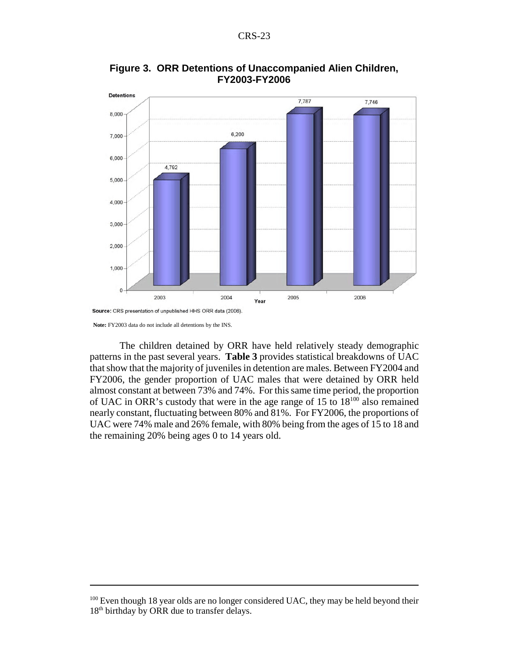

**Figure 3. ORR Detentions of Unaccompanied Alien Children, FY2003-FY2006**

Source: CRS presentation of unpublished HHS ORR data (2006).

 **Note:** FY2003 data do not include all detentions by the INS.

The children detained by ORR have held relatively steady demographic patterns in the past several years. **Table 3** provides statistical breakdowns of UAC that show that the majority of juveniles in detention are males. Between FY2004 and FY2006, the gender proportion of UAC males that were detained by ORR held almost constant at between 73% and 74%. For this same time period, the proportion of UAC in ORR's custody that were in the age range of 15 to 18100 also remained nearly constant, fluctuating between 80% and 81%. For FY2006, the proportions of UAC were 74% male and 26% female, with 80% being from the ages of 15 to 18 and the remaining 20% being ages 0 to 14 years old.

 $100$  Even though 18 year olds are no longer considered UAC, they may be held beyond their 18<sup>th</sup> birthday by ORR due to transfer delays.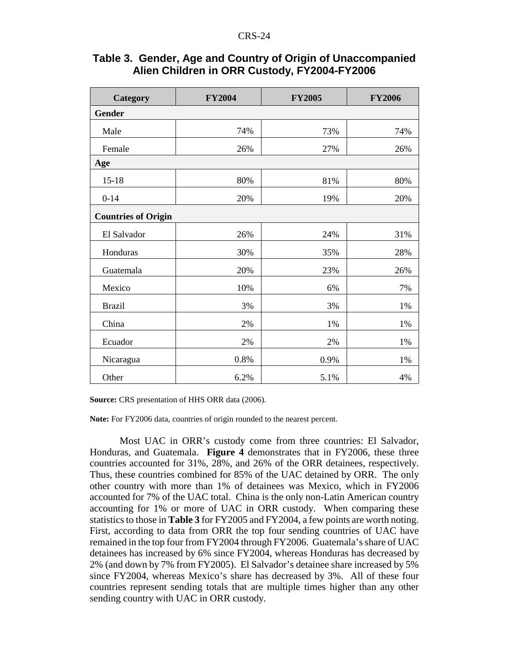| Category                   | <b>FY2004</b> | <b>FY2005</b> | <b>FY2006</b> |  |  |  |  |  |  |  |  |
|----------------------------|---------------|---------------|---------------|--|--|--|--|--|--|--|--|
| Gender                     |               |               |               |  |  |  |  |  |  |  |  |
| Male                       | 74%           | 73%           | 74%           |  |  |  |  |  |  |  |  |
| Female                     | 26%           | 27%           | 26%           |  |  |  |  |  |  |  |  |
| Age                        |               |               |               |  |  |  |  |  |  |  |  |
| $15 - 18$                  | 80%           | 81%           | 80%           |  |  |  |  |  |  |  |  |
| $0 - 14$                   | 20%           | 19%           | 20%           |  |  |  |  |  |  |  |  |
| <b>Countries of Origin</b> |               |               |               |  |  |  |  |  |  |  |  |
| El Salvador                | 26%           | 24%           | 31%           |  |  |  |  |  |  |  |  |
| Honduras                   | 30%           | 35%           | 28%           |  |  |  |  |  |  |  |  |
| Guatemala                  | 20%           | 23%           | 26%           |  |  |  |  |  |  |  |  |
| Mexico                     | 10%           | 6%            | 7%            |  |  |  |  |  |  |  |  |
| <b>Brazil</b>              | 3%            | 3%            | 1%            |  |  |  |  |  |  |  |  |
| China                      | 2%            | 1%            | 1%            |  |  |  |  |  |  |  |  |
| Ecuador                    | 2%            | 2%            | 1%            |  |  |  |  |  |  |  |  |
| Nicaragua                  | 0.8%          | 0.9%          | 1%            |  |  |  |  |  |  |  |  |
| Other                      | 6.2%          | 5.1%          | 4%            |  |  |  |  |  |  |  |  |

#### **Table 3. Gender, Age and Country of Origin of Unaccompanied Alien Children in ORR Custody, FY2004-FY2006**

**Source:** CRS presentation of HHS ORR data (2006).

**Note:** For FY2006 data, countries of origin rounded to the nearest percent.

Most UAC in ORR's custody come from three countries: El Salvador, Honduras, and Guatemala. **Figure 4** demonstrates that in FY2006, these three countries accounted for 31%, 28%, and 26% of the ORR detainees, respectively. Thus, these countries combined for 85% of the UAC detained by ORR. The only other country with more than 1% of detainees was Mexico, which in FY2006 accounted for 7% of the UAC total. China is the only non-Latin American country accounting for 1% or more of UAC in ORR custody. When comparing these statistics to those in **Table 3** for FY2005 and FY2004, a few points are worth noting. First, according to data from ORR the top four sending countries of UAC have remained in the top four from FY2004 through FY2006. Guatemala's share of UAC detainees has increased by 6% since FY2004, whereas Honduras has decreased by 2% (and down by 7% from FY2005). El Salvador's detainee share increased by 5% since FY2004, whereas Mexico's share has decreased by 3%. All of these four countries represent sending totals that are multiple times higher than any other sending country with UAC in ORR custody.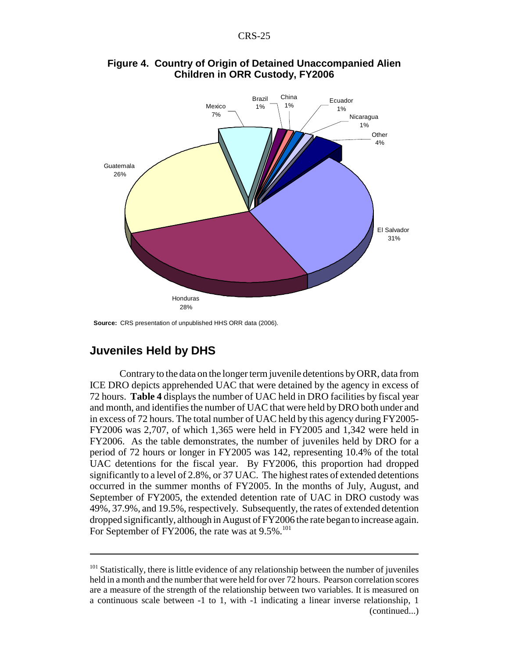

#### **Figure 4. Country of Origin of Detained Unaccompanied Alien Children in ORR Custody, FY2006**

**Source:** CRS presentation of unpublished HHS ORR data (2006).

## **Juveniles Held by DHS**

Contrary to the data on the longer term juvenile detentions by ORR, data from ICE DRO depicts apprehended UAC that were detained by the agency in excess of 72 hours. **Table 4** displays the number of UAC held in DRO facilities by fiscal year and month, and identifies the number of UAC that were held by DRO both under and in excess of 72 hours. The total number of UAC held by this agency during FY2005- FY2006 was 2,707, of which 1,365 were held in FY2005 and 1,342 were held in FY2006. As the table demonstrates, the number of juveniles held by DRO for a period of 72 hours or longer in FY2005 was 142, representing 10.4% of the total UAC detentions for the fiscal year. By FY2006, this proportion had dropped significantly to a level of 2.8%, or 37 UAC. The highest rates of extended detentions occurred in the summer months of FY2005. In the months of July, August, and September of FY2005, the extended detention rate of UAC in DRO custody was 49%, 37.9%, and 19.5%, respectively. Subsequently, the rates of extended detention dropped significantly, although in August of FY2006 the rate began to increase again. For September of FY2006, the rate was at  $9.5\%$ .<sup>101</sup>

 $101$  Statistically, there is little evidence of any relationship between the number of juveniles held in a month and the number that were held for over 72 hours. Pearson correlation scores are a measure of the strength of the relationship between two variables. It is measured on a continuous scale between -1 to 1, with -1 indicating a linear inverse relationship, 1 (continued...)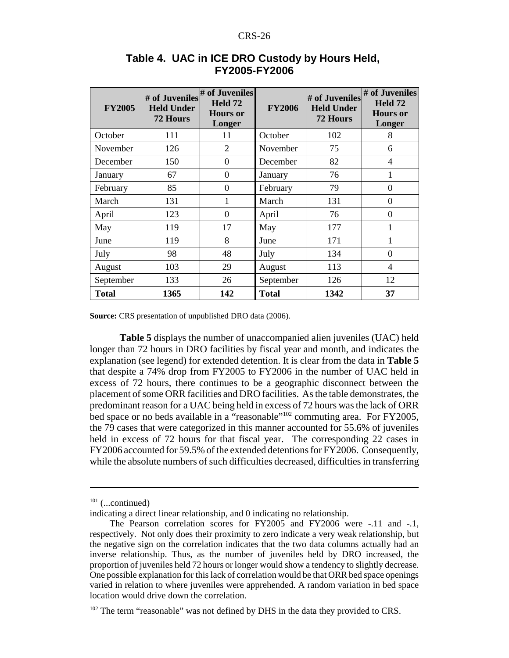| <b>FY2005</b> | # of Juveniles<br><b>Held Under</b><br>72 Hours | # of Juveniles<br>Held 72<br><b>Hours</b> or<br>Longer | <b>FY2006</b> | # of Juveniles<br><b>Held Under</b><br><b>72 Hours</b> | # of Juveniles<br>Held 72<br><b>Hours</b> or<br>Longer |
|---------------|-------------------------------------------------|--------------------------------------------------------|---------------|--------------------------------------------------------|--------------------------------------------------------|
| October       | 111                                             | 11                                                     | October       | 102                                                    | 8                                                      |
| November      | 126                                             | $\overline{2}$                                         | November      | 75                                                     | 6                                                      |
| December      | 150                                             | $\overline{0}$                                         | December      | 82                                                     | 4                                                      |
| January       | 67                                              | $\theta$                                               | January       | 76                                                     | 1                                                      |
| February      | 85                                              | $\theta$                                               | February      | 79                                                     | $\overline{0}$                                         |
| March         | 131                                             | 1                                                      | March         | 131                                                    | $\theta$                                               |
| April         | 123                                             | $\Omega$                                               | April         | 76                                                     | $\theta$                                               |
| May           | 119                                             | 17                                                     | May           | 177                                                    |                                                        |
| June          | 119                                             | 8                                                      | June          | 171                                                    | 1                                                      |
| July          | 98                                              | 48                                                     | July          | 134                                                    | $\theta$                                               |
| August        | 103                                             | 29                                                     | August        | 113                                                    | 4                                                      |
| September     | 133                                             | 26                                                     | September     | 126                                                    | 12                                                     |
| <b>Total</b>  | 1365                                            | 142                                                    | <b>Total</b>  | 1342                                                   | 37                                                     |

#### **Table 4. UAC in ICE DRO Custody by Hours Held, FY2005-FY2006**

**Source:** CRS presentation of unpublished DRO data (2006).

**Table 5** displays the number of unaccompanied alien juveniles (UAC) held longer than 72 hours in DRO facilities by fiscal year and month, and indicates the explanation (see legend) for extended detention. It is clear from the data in **Table 5** that despite a 74% drop from FY2005 to FY2006 in the number of UAC held in excess of 72 hours, there continues to be a geographic disconnect between the placement of some ORR facilities and DRO facilities. As the table demonstrates, the predominant reason for a UAC being held in excess of 72 hours was the lack of ORR bed space or no beds available in a "reasonable"<sup>102</sup> commuting area. For FY2005, the 79 cases that were categorized in this manner accounted for 55.6% of juveniles held in excess of 72 hours for that fiscal year. The corresponding 22 cases in FY2006 accounted for 59.5% of the extended detentions for FY2006. Consequently, while the absolute numbers of such difficulties decreased, difficulties in transferring

 $101$  (...continued)

indicating a direct linear relationship, and 0 indicating no relationship.

The Pearson correlation scores for FY2005 and FY2006 were -.11 and -.1, respectively. Not only does their proximity to zero indicate a very weak relationship, but the negative sign on the correlation indicates that the two data columns actually had an inverse relationship. Thus, as the number of juveniles held by DRO increased, the proportion of juveniles held 72 hours or longer would show a tendency to slightly decrease. One possible explanation for this lack of correlation would be that ORR bed space openings varied in relation to where juveniles were apprehended. A random variation in bed space location would drive down the correlation.

 $102$  The term "reasonable" was not defined by DHS in the data they provided to CRS.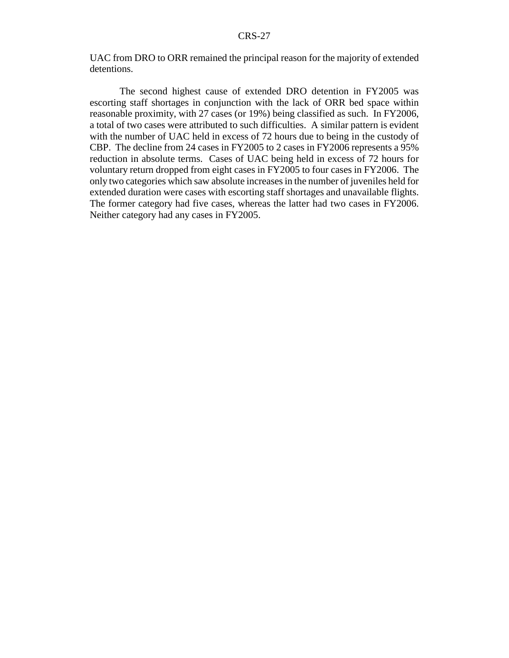UAC from DRO to ORR remained the principal reason for the majority of extended detentions.

The second highest cause of extended DRO detention in FY2005 was escorting staff shortages in conjunction with the lack of ORR bed space within reasonable proximity, with 27 cases (or 19%) being classified as such. In FY2006, a total of two cases were attributed to such difficulties. A similar pattern is evident with the number of UAC held in excess of 72 hours due to being in the custody of CBP. The decline from 24 cases in FY2005 to 2 cases in FY2006 represents a 95% reduction in absolute terms. Cases of UAC being held in excess of 72 hours for voluntary return dropped from eight cases in FY2005 to four cases in FY2006. The only two categories which saw absolute increases in the number of juveniles held for extended duration were cases with escorting staff shortages and unavailable flights. The former category had five cases, whereas the latter had two cases in FY2006. Neither category had any cases in FY2005.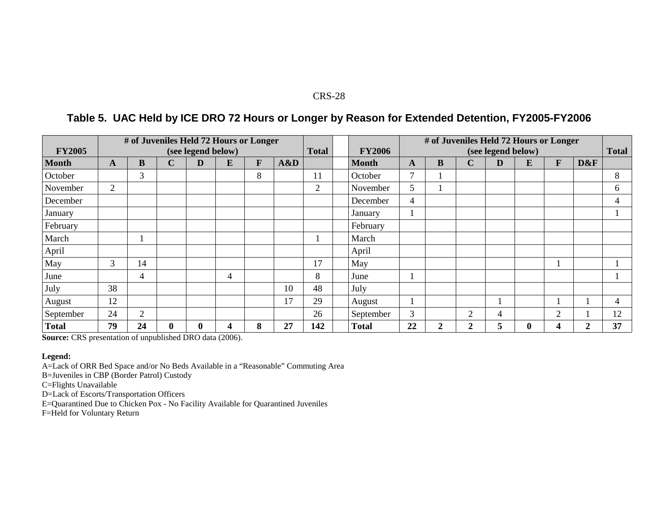## **Table 5. UAC Held by ICE DRO 72 Hours or Longer by Reason for Extended Detention, FY2005-FY2006**

| <b>FY2005</b> |                |                |             | (see legend below) | # of Juveniles Held 72 Hours or Longer |   |     | <b>Total</b>   | <b>FY2006</b> | # of Juveniles Held 72 Hours or Longer<br>(see legend below) |                  |                  |             |          | <b>Total</b>   |     |                |
|---------------|----------------|----------------|-------------|--------------------|----------------------------------------|---|-----|----------------|---------------|--------------------------------------------------------------|------------------|------------------|-------------|----------|----------------|-----|----------------|
| <b>Month</b>  | A              | B              | $\mathbf C$ | $\mathbf{D}$       | E                                      | F | A&D |                | <b>Month</b>  | A                                                            | $\bf{B}$         | $\mathbf C$      | $\mathbf D$ | E        | $\mathbf{F}$   | D&F |                |
| October       |                | 3              |             |                    |                                        | 8 |     | 11             | October       | $\mathbf{r}$                                                 |                  |                  |             |          |                |     | 8              |
| November      | $\overline{2}$ |                |             |                    |                                        |   |     | $\overline{2}$ | November      | 5                                                            |                  |                  |             |          |                |     | 6              |
| December      |                |                |             |                    |                                        |   |     |                | December      | 4                                                            |                  |                  |             |          |                |     | 4              |
| January       |                |                |             |                    |                                        |   |     |                | January       |                                                              |                  |                  |             |          |                |     |                |
| February      |                |                |             |                    |                                        |   |     |                | February      |                                                              |                  |                  |             |          |                |     |                |
| March         |                |                |             |                    |                                        |   |     |                | March         |                                                              |                  |                  |             |          |                |     |                |
| April         |                |                |             |                    |                                        |   |     |                | April         |                                                              |                  |                  |             |          |                |     |                |
| May           | 3              | 14             |             |                    |                                        |   |     | 17             | May           |                                                              |                  |                  |             |          | п              |     |                |
| June          |                | $\overline{4}$ |             |                    | 4                                      |   |     | 8              | June          |                                                              |                  |                  |             |          |                |     |                |
| July          | 38             |                |             |                    |                                        |   | 10  | 48             | July          |                                                              |                  |                  |             |          |                |     |                |
| August        | 12             |                |             |                    |                                        |   | 17  | 29             | August        |                                                              |                  |                  |             |          | п              |     | $\overline{4}$ |
| September     | 24             | $\overline{2}$ |             |                    |                                        |   |     | 26             | September     | $\overline{3}$                                               |                  | $\overline{2}$   | 4           |          | $\overline{2}$ |     | 12             |
| <b>Total</b>  | 79             | 24             | $\bf{0}$    | $\bf{0}$           | 4                                      | 8 | 27  | 142            | <b>Total</b>  | 22                                                           | $\boldsymbol{2}$ | $\boldsymbol{2}$ | 5           | $\bf{0}$ | 4              | 2   | 37             |

**Source:** CRS presentation of unpublished DRO data (2006).

#### **Legend:**

A=Lack of ORR Bed Space and/or No Beds Available in a "Reasonable" Commuting Area

B=Juveniles in CBP (Border Patrol) Custody

C=Flights Unavailable

D=Lack of Escorts/Transportation Officers

E=Quarantined Due to Chicken Pox - No Facility Available for Quarantined Juveniles

F=Held for Voluntary Return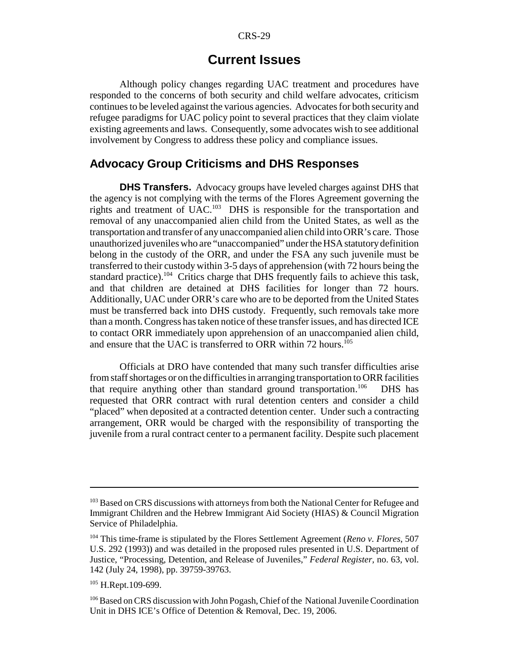## **Current Issues**

Although policy changes regarding UAC treatment and procedures have responded to the concerns of both security and child welfare advocates, criticism continues to be leveled against the various agencies. Advocates for both security and refugee paradigms for UAC policy point to several practices that they claim violate existing agreements and laws. Consequently, some advocates wish to see additional involvement by Congress to address these policy and compliance issues.

## **Advocacy Group Criticisms and DHS Responses**

**DHS Transfers.** Advocacy groups have leveled charges against DHS that the agency is not complying with the terms of the Flores Agreement governing the rights and treatment of UAC.103 DHS is responsible for the transportation and removal of any unaccompanied alien child from the United States, as well as the transportation and transfer of any unaccompanied alien child into ORR's care. Those unauthorized juveniles who are "unaccompanied" under the HSA statutory definition belong in the custody of the ORR, and under the FSA any such juvenile must be transferred to their custody within 3-5 days of apprehension (with 72 hours being the standard practice).<sup>104</sup> Critics charge that DHS frequently fails to achieve this task, and that children are detained at DHS facilities for longer than 72 hours. Additionally, UAC under ORR's care who are to be deported from the United States must be transferred back into DHS custody. Frequently, such removals take more than a month. Congress has taken notice of these transfer issues, and has directed ICE to contact ORR immediately upon apprehension of an unaccompanied alien child, and ensure that the UAC is transferred to ORR within 72 hours.<sup>105</sup>

Officials at DRO have contended that many such transfer difficulties arise from staff shortages or on the difficulties in arranging transportation to ORR facilities that require anything other than standard ground transportation.<sup>106</sup> DHS has requested that ORR contract with rural detention centers and consider a child "placed" when deposited at a contracted detention center. Under such a contracting arrangement, ORR would be charged with the responsibility of transporting the juvenile from a rural contract center to a permanent facility. Despite such placement

<sup>&</sup>lt;sup>103</sup> Based on CRS discussions with attorneys from both the National Center for Refugee and Immigrant Children and the Hebrew Immigrant Aid Society (HIAS) & Council Migration Service of Philadelphia.

<sup>104</sup> This time-frame is stipulated by the Flores Settlement Agreement (*Reno v. Flores*, 507 U.S. 292 (1993)) and was detailed in the proposed rules presented in U.S. Department of Justice, "Processing, Detention, and Release of Juveniles," *Federal Register,* no. 63, vol. 142 (July 24, 1998), pp. 39759-39763.

<sup>&</sup>lt;sup>105</sup> H.Rept.109-699.

<sup>106</sup> Based on CRS discussion with John Pogash, Chief of the National Juvenile Coordination Unit in DHS ICE's Office of Detention & Removal, Dec. 19, 2006.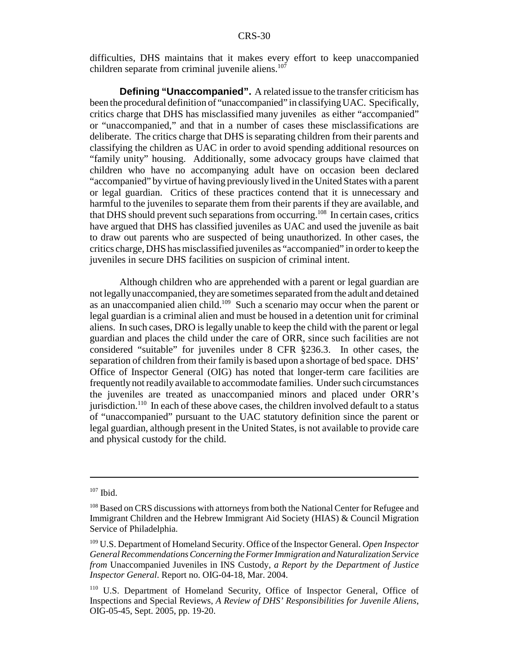difficulties, DHS maintains that it makes every effort to keep unaccompanied children separate from criminal juvenile aliens. $107$ 

**Defining "Unaccompanied".** A related issue to the transfer criticism has been the procedural definition of "unaccompanied" in classifying UAC. Specifically, critics charge that DHS has misclassified many juveniles as either "accompanied" or "unaccompanied," and that in a number of cases these misclassifications are deliberate. The critics charge that DHS is separating children from their parents and classifying the children as UAC in order to avoid spending additional resources on "family unity" housing. Additionally, some advocacy groups have claimed that children who have no accompanying adult have on occasion been declared "accompanied" by virtue of having previously lived in the United States with a parent or legal guardian. Critics of these practices contend that it is unnecessary and harmful to the juveniles to separate them from their parents if they are available, and that DHS should prevent such separations from occurring.108 In certain cases, critics have argued that DHS has classified juveniles as UAC and used the juvenile as bait to draw out parents who are suspected of being unauthorized. In other cases, the critics charge, DHS has misclassified juveniles as "accompanied" in order to keep the juveniles in secure DHS facilities on suspicion of criminal intent.

Although children who are apprehended with a parent or legal guardian are not legally unaccompanied, they are sometimes separated from the adult and detained as an unaccompanied alien child.<sup>109</sup> Such a scenario may occur when the parent or legal guardian is a criminal alien and must be housed in a detention unit for criminal aliens. In such cases, DRO is legally unable to keep the child with the parent or legal guardian and places the child under the care of ORR, since such facilities are not considered "suitable" for juveniles under 8 CFR §236.3. In other cases, the separation of children from their family is based upon a shortage of bed space. DHS' Office of Inspector General (OIG) has noted that longer-term care facilities are frequently not readily available to accommodate families. Under such circumstances the juveniles are treated as unaccompanied minors and placed under ORR's jurisdiction.<sup>110</sup> In each of these above cases, the children involved default to a status of "unaccompanied" pursuant to the UAC statutory definition since the parent or legal guardian, although present in the United States, is not available to provide care and physical custody for the child.

 $107$  Ibid.

<sup>&</sup>lt;sup>108</sup> Based on CRS discussions with attorneys from both the National Center for Refugee and Immigrant Children and the Hebrew Immigrant Aid Society (HIAS) & Council Migration Service of Philadelphia.

<sup>109</sup> U.S. Department of Homeland Security. Office of the Inspector General. *Open Inspector General Recommendations Concerning the Former Immigration and Naturalization Service from* Unaccompanied Juveniles in INS Custody*, a Report by the Department of Justice Inspector General*. Report no. OIG-04-18, Mar. 2004.

<sup>110</sup> U.S. Department of Homeland Security, Office of Inspector General, Office of Inspections and Special Reviews, *A Review of DHS' Responsibilities for Juvenile Aliens*, OIG-05-45, Sept. 2005, pp. 19-20.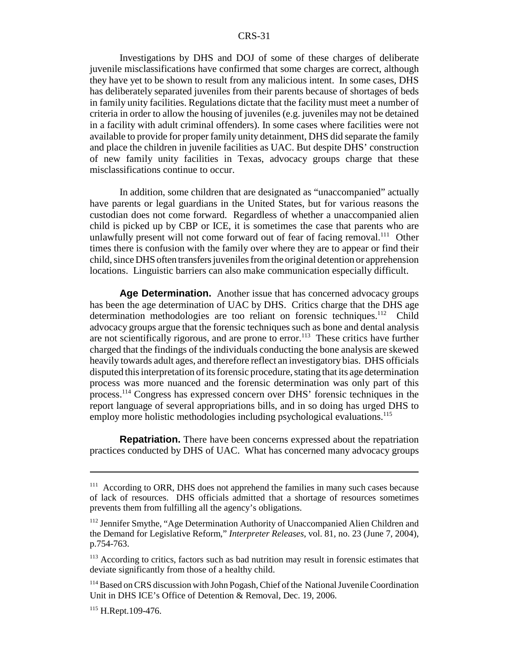Investigations by DHS and DOJ of some of these charges of deliberate juvenile misclassifications have confirmed that some charges are correct, although they have yet to be shown to result from any malicious intent. In some cases, DHS has deliberately separated juveniles from their parents because of shortages of beds in family unity facilities. Regulations dictate that the facility must meet a number of criteria in order to allow the housing of juveniles (e.g. juveniles may not be detained in a facility with adult criminal offenders). In some cases where facilities were not available to provide for proper family unity detainment, DHS did separate the family and place the children in juvenile facilities as UAC. But despite DHS' construction of new family unity facilities in Texas, advocacy groups charge that these misclassifications continue to occur.

In addition, some children that are designated as "unaccompanied" actually have parents or legal guardians in the United States, but for various reasons the custodian does not come forward. Regardless of whether a unaccompanied alien child is picked up by CBP or ICE, it is sometimes the case that parents who are unlawfully present will not come forward out of fear of facing removal.<sup>111</sup> Other times there is confusion with the family over where they are to appear or find their child, since DHS often transfers juveniles from the original detention or apprehension locations. Linguistic barriers can also make communication especially difficult.

**Age Determination.** Another issue that has concerned advocacy groups has been the age determination of UAC by DHS. Critics charge that the DHS age determination methodologies are too reliant on forensic techniques.<sup>112</sup> Child advocacy groups argue that the forensic techniques such as bone and dental analysis are not scientifically rigorous, and are prone to error.<sup>113</sup> These critics have further charged that the findings of the individuals conducting the bone analysis are skewed heavily towards adult ages, and therefore reflect an investigatory bias. DHS officials disputed this interpretation of its forensic procedure, stating that its age determination process was more nuanced and the forensic determination was only part of this process.114 Congress has expressed concern over DHS' forensic techniques in the report language of several appropriations bills, and in so doing has urged DHS to employ more holistic methodologies including psychological evaluations.<sup>115</sup>

**Repatriation.** There have been concerns expressed about the repatriation practices conducted by DHS of UAC. What has concerned many advocacy groups

<sup>&</sup>lt;sup>111</sup> According to ORR, DHS does not apprehend the families in many such cases because of lack of resources. DHS officials admitted that a shortage of resources sometimes prevents them from fulfilling all the agency's obligations.

<sup>&</sup>lt;sup>112</sup> Jennifer Smythe, "Age Determination Authority of Unaccompanied Alien Children and the Demand for Legislative Reform," *Interpreter Releases*, vol. 81, no. 23 (June 7, 2004), p.754-763.

<sup>&</sup>lt;sup>113</sup> According to critics, factors such as bad nutrition may result in forensic estimates that deviate significantly from those of a healthy child.

<sup>114</sup> Based on CRS discussion with John Pogash, Chief of the National Juvenile Coordination Unit in DHS ICE's Office of Detention & Removal, Dec. 19, 2006.

<sup>115</sup> H.Rept.109-476.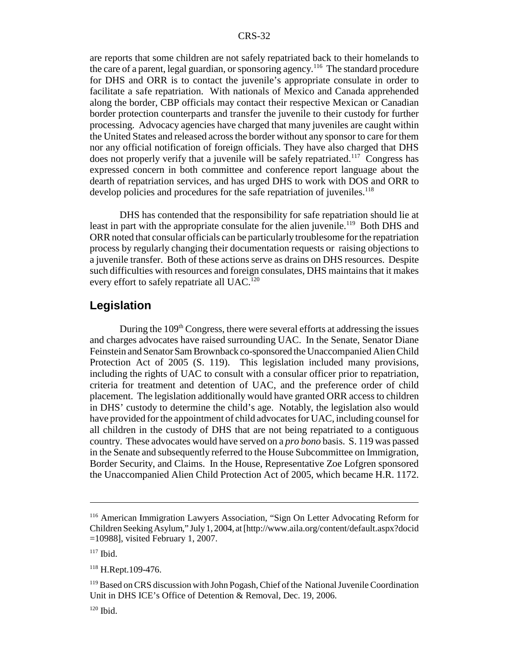are reports that some children are not safely repatriated back to their homelands to the care of a parent, legal guardian, or sponsoring agency.<sup>116</sup> The standard procedure for DHS and ORR is to contact the juvenile's appropriate consulate in order to facilitate a safe repatriation. With nationals of Mexico and Canada apprehended along the border, CBP officials may contact their respective Mexican or Canadian border protection counterparts and transfer the juvenile to their custody for further processing. Advocacy agencies have charged that many juveniles are caught within the United States and released across the border without any sponsor to care for them nor any official notification of foreign officials. They have also charged that DHS does not properly verify that a juvenile will be safely repatriated.<sup>117</sup> Congress has expressed concern in both committee and conference report language about the dearth of repatriation services, and has urged DHS to work with DOS and ORR to develop policies and procedures for the safe repatriation of juveniles.<sup>118</sup>

DHS has contended that the responsibility for safe repatriation should lie at least in part with the appropriate consulate for the alien juvenile.<sup>119</sup> Both DHS and ORR noted that consular officials can be particularly troublesome for the repatriation process by regularly changing their documentation requests or raising objections to a juvenile transfer. Both of these actions serve as drains on DHS resources. Despite such difficulties with resources and foreign consulates, DHS maintains that it makes every effort to safely repatriate all UAC.<sup>120</sup>

#### **Legislation**

During the 109<sup>th</sup> Congress, there were several efforts at addressing the issues and charges advocates have raised surrounding UAC. In the Senate, Senator Diane Feinstein and Senator Sam Brownback co-sponsored the Unaccompanied Alien Child Protection Act of 2005 (S. 119). This legislation included many provisions, including the rights of UAC to consult with a consular officer prior to repatriation, criteria for treatment and detention of UAC, and the preference order of child placement. The legislation additionally would have granted ORR access to children in DHS' custody to determine the child's age. Notably, the legislation also would have provided for the appointment of child advocates for UAC, including counsel for all children in the custody of DHS that are not being repatriated to a contiguous country. These advocates would have served on a *pro bono* basis. S. 119 was passed in the Senate and subsequently referred to the House Subcommittee on Immigration, Border Security, and Claims. In the House, Representative Zoe Lofgren sponsored the Unaccompanied Alien Child Protection Act of 2005, which became H.R. 1172.

<sup>116</sup> American Immigration Lawyers Association, "Sign On Letter Advocating Reform for Children Seeking Asylum," July 1, 2004, at [http://www.aila.org/content/default.aspx?docid =10988], visited February 1, 2007.

 $117$  Ibid.

<sup>118</sup> H.Rept.109-476.

<sup>&</sup>lt;sup>119</sup> Based on CRS discussion with John Pogash, Chief of the National Juvenile Coordination Unit in DHS ICE's Office of Detention & Removal, Dec. 19, 2006.

 $120$  Ibid.